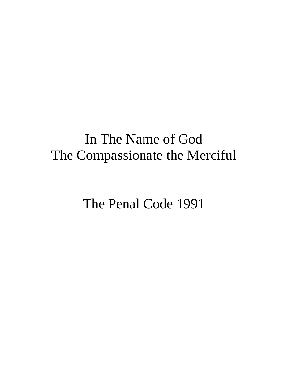# In The Name of God The Compassionate the Merciful

The Penal Code 1991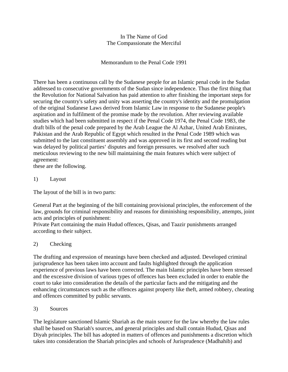#### In The Name of God The Compassionate the Merciful

## Memorandum to the Penal Code 1991

There has been a continuous call by the Sudanese people for an Islamic penal code in the Sudan addressed to consecutive governments of the Sudan since independence. Thus the first thing that the Revolution for National Salvation has paid attention to after finishing the important steps for securing the country's safety and unity was asserting the country's identity and the promulgation of the original Sudanese Laws derived from Islamic Law in response to the Sudanese people's aspiration and in fulfilment of the promise made by the revolution. After reviewing available studies which had been submitted in respect if the Penal Code 1974, the Penal Code 1983, the draft bills of the penal code prepared by the Arab League the Al Azhar, United Arab Emirates, Pakistan and the Arab Republic of Egypt which resulted in the Penal Code 1989 which was submitted to the last constituent assembly and was approved in its first and second reading but was delayed by political parties' disputes and foreign pressures. we resolved after such meticulous reviewing to the new bill maintaining the main features which were subject of agreement:

these are the following.

1) Layout

The layout of the bill is in two parts:

General Part at the beginning of the bill containing provisional principles, the enforcement of the law, grounds for criminal responsibility and reasons for diminishing responsibility, attempts, joint acts and principles of punishment:

Private Part containing the main Hudud offences, Qisas, and Taazir punishments arranged according to their subject.

# 2) Checking

The drafting and expression of meanings have been checked and adjusted. Developed criminal jurisprudence has been taken into account and faults highlighted through the application experience of previous laws have been corrected. The main Islamic principles have been stressed and the excessive division of various types of offences has been excluded in order to enable the court to take into consideration the details of the particular facts and the mitigating and the enhancing circumstances such as the offences against property like theft, armed robbery, cheating and offences committed by public servants.

#### 3) Sources

The legislature sanctioned Islamic Shariah as the main source for the law whereby the law rules shall be based on Shariah's sources, and general principles and shall contain Hudud, Qisas and Diyah principles. The bill has adopted in matters of offences and punishments a discretion which takes into consideration the Shariah principles and schools of Jurisprudence (Madhahib) and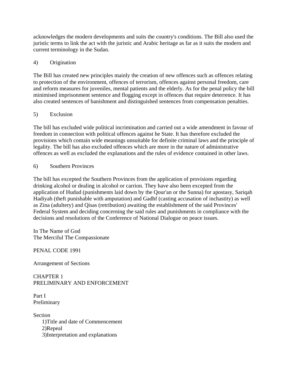acknowledges the modern developments and suits the country's conditions. The Bill also used the juristic terms to link the act with the juristic and Arabic heritage as far as it suits the modern and current terminology in the Sudan.

#### 4) Origination

The Bill has created new principles mainly the creation of new offences such as offences relating to protection of the environment, offences of terrorism, offences against personal freedom, care and reform measures for juveniles, mental patients and the elderly. As for the penal policy the bill minimised imprisonment sentence and flogging except in offences that require deterrence. It has also created sentences of banishment and distinguished sentences from compensation penalties.

#### 5) Exclusion

The bill has excluded wide political incrimination and carried out a wide amendment in favour of freedom in connection with political offences against he State. It has therefore excluded the provisions which contain wide meanings unsuitable for definite criminal laws and the principle of legality. The bill has also excluded offences which are more in the nature of administrative offences as well as excluded the explanations and the rules of evidence contained in other laws.

#### 6) Southern Provinces

The bill has excepted the Southern Provinces from the application of provisions regarding drinking alcohol or dealing in alcohol or carrion. They have also been excepted from the application of Hudud (punishments laid down by the Qour'an or the Sunna) for apostasy, Sariqah Hadiyah (theft punishable with amputation) and Gadhf (casting accusation of inchastity) as well as Zina (adultery) and Qisas (retribution) awaiting the establishment of the said Provinces' Federal System and deciding concerning the said rules and punishments in compliance with the decisions and resolutions of the Conference of National Dialogue on peace issues.

In The Name of God The Merciful The Compassionate

PENAL CODE 1991

Arrangement of Sections

CHAPTER 1 PRELIMINARY AND ENFORCEMENT

Part I Preliminary

**Section**  1)Title and date of Commencement 2)Repeal 3)Interpretation and explanations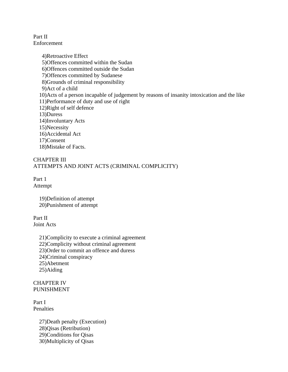Part II Enforcement

> 4)Retroactive Effect 5)Offences committed within the Sudan 6)Offences committed outside the Sudan 7)Offences committed by Sudanese 8)Grounds of criminal responsibility 9)Act of a child 10)Acts of a person incapable of judgement by reasons of insanity intoxication and the like 11)Performance of duty and use of right 12)Right of self defence 13)Duress 14)Involuntary Acts 15)Necessity 16)Accidental Act 17)Consent 18)Mistake of Facts.

#### CHAPTER III ATTEMPTS AND JOINT ACTS (CRIMINAL COMPLICITY)

Part 1 Attempt

> 19)Definition of attempt 20)Punishment of attempt

Part II Joint Acts

> 21)Complicity to execute a criminal agreement 22)Complicity without criminal agreement 23)Order to commit an offence and duress 24)Criminal conspiracy 25)Abetment 25)Aiding

CHAPTER IV PUNISHMENT

Part I Penalties

> 27)Death penalty (Execution) 28)Qisas (Retribution) 29)Conditions for Qisas 30)Multiplicity of Qisas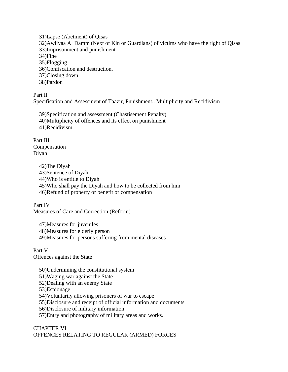31)Lapse (Abetment) of Qisas 32)Awliyaa Al Damm (Next of Kin or Guardians) of victims who have the right of Qisas 33)Imprisonment and punishment 34)Fine 35)Flogging 36)Confiscation and destruction. 37)Closing down. 38)Pardon

Part II Specification and Assessment of Taazir, Punishment,. Multiplicity and Recidivism

 39)Specification and assessment (Chastisement Penalty) 40)Multiplicity of offences and its effect on punishment 41)Recidivism

Part III Compensation Diyah

> 42)The Diyah 43)Sentence of Diyah 44)Who is entitle to Diyah 45)Who shall pay the Diyah and how to be collected from him 46)Refund of property or benefit or compensation

Part IV Measures of Care and Correction (Reform)

 47)Measures for juveniles 48)Measures for elderly person 49)Measures for persons suffering from mental diseases

Part V Offences against the State

 50)Undermining the constitutional system 51)Waging war against the State 52)Dealing with an enemy State 53)Espionage 54)Voluntarily allowing prisoners of war to escape 55)Disclosure and receipt of official information and documents 56)Disclosure of military information

57)Entry and photography of military areas and works.

# CHAPTER VI OFFENCES RELATING TO REGULAR (ARMED) FORCES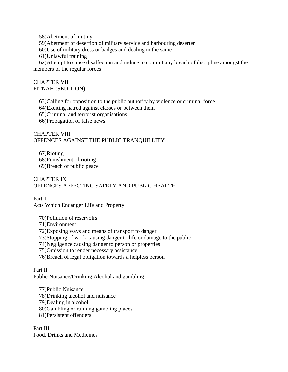58)Abetment of mutiny

59)Abetment of desertion of military service and harbouring deserter

60)Use of military dress or badges and dealing in the same

61)Unlawful training

 62)Attempt to cause disaffection and induce to commit any breach of discipline amongst the members of the regular forces

#### CHAPTER VII FITNAH (SEDITION)

 63)Calling for opposition to the public authority by violence or criminal force 64)Exciting hatred against classes or between them 65)Criminal and terrorist organisations 66)Propagation of false news

#### CHAPTER VIII OFFENCES AGAINST THE PUBLIC TRANQUILLITY

 67)Rioting 68)Punishment of rioting 69)Breach of public peace

#### CHAPTER IX OFFENCES AFFECTING SAFETY AND PUBLIC HEALTH

Part 1 Acts Which Endanger Life and Property

 70)Pollution of reservoirs 71)Environment 72)Exposing ways and means of transport to danger 73)Stopping of work causing danger to life or damage to the public 74)Negligence causing danger to person or properties 75)Omission to render necessary assistance 76)Breach of legal obligation towards a helpless person

Part II Public Nuisance/Drinking Alcohol and gambling

 77)Public Nuisance 78)Drinking alcohol and nuisance 79)Dealing in alcohol 80)Gambling or running gambling places 81)Persistent offenders

Part III Food, Drinks and Medicines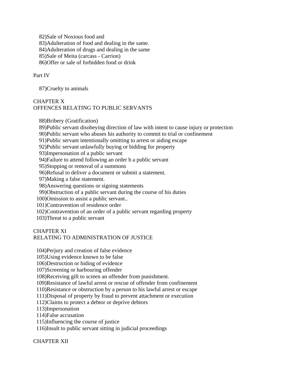82)Sale of Noxious food and 83)Adulteration of food and dealing in the same. 84)Adulteration of drugs and dealing in the same 85)Sale of Meita (carcass - Carrion) 86)Offer or sale of forbidden food or drink

#### Part IV

87)Cruelty to animals

# CHAPTER X OFFENCES RELATING TO PUBLIC SERVANTS

88)Bribery (Gratification)

89)Public servant disobeying direction of law with intent to cause injury or protection

90)Public servant who abuses his authority to commit to trial or confinement

91)Public servant intentionally omitting to arrest or aiding escape

92)Public servant unlawfully buying or bidding for property

93)Impersonation of a public servant

94)Failure to attend following an order b a public servant

95)Stopping or removal of a summons

96)Refusal to deliver a document or submit a statement.

97)Making a false statement.

98)Answering questions or signing statements

99)Obstruction of a public servant during the course of his duties

100)Omission to assist a public servant..

101)Contravention of residence order

102)Contravention of an order of a public servant regarding property

103)Threat to a public servant

#### CHAPTER XI

#### RELATING TO ADMINISTRATION OF JUSTICE

104)Perjury and creation of false evidence

105)Using evidence known to be false

106)Destruction or hiding of evidence

107)Screening or harbouring offender

108)Receiving gift to screen an offender from punishment.

109)Resistance of lawful arrest or rescue of offender from confinement

110)Resistance or obstruction by a person to his lawful arrest or escape

111)Disposal of property by fraud to prevent attachment or execution

112)Claims to protect a debtor or deprive debtors

113)Impersonation

114)False accusation

115)Influencing the course of justice

116)Insult to public servant sitting in judicial proceedings

CHAPTER XII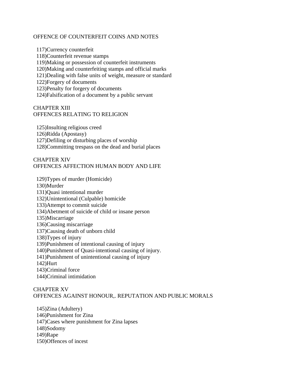#### OFFENCE OF COUNTERFEIT COINS AND NOTES

 117)Currency counterfeit 118)Counterfeit revenue stamps 119)Making or possession of counterfeit instruments 120)Making and counterfeiting stamps and official marks 121)Dealing with false units of weight, measure or standard 122)Forgery of documents 123)Penalty for forgery of documents 124)Falsification of a document by a public servant

#### CHAPTER XIII OFFENCES RELATING TO RELIGION

 125)Insulting religious creed 126)Ridda (Apostasy) 127)Defiling or disturbing places of worship 128)Committing trespass on the dead and burial places

#### CHAPTER XIV OFFENCES AFFECTION HUMAN BODY AND LIFE

 129)Types of murder (Homicide) 130)Murder 131)Quasi intentional murder 132)Unintentional (Culpable) homicide 133)Attempt to commit suicide 134)Abetment of suicide of child or insane person 135)Miscarriage 136)Causing miscarriage 137)Causing death of unborn child 138)Types of injury 139)Punishment of intentional causing of injury 140)Punishment of Quasi-intentional causing of injury. 141)Punishment of unintentional causing of injury 142)Hurt 143)Criminal force 144)Criminal intimidation

#### CHAPTER XV OFFENCES AGAINST HONOUR,. REPUTATION AND PUBLIC MORALS

 145)Zina (Adultery) 146)Punishment for Zina 147)Cases where punishment for Zina lapses 148)Sodomy 149)Rape 150)Offences of incest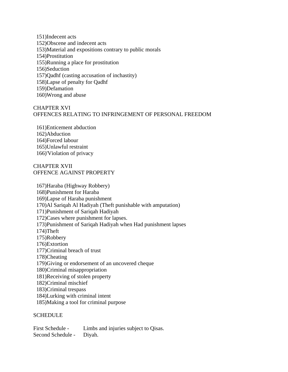151)Indecent acts 152)Obscene and indecent acts 153)Material and expositions contrary to public morals 154)Prostitution 155)Running a place for prostitution 156)Seduction 157)Qadhf (casting accusation of inchastity) 158)Lapse of penalty for Qadhf 159)Defamation 160)Wrong and abuse

#### CHAPTER XVI OFFENCES RELATING TO INFRINGEMENT OF PERSONAL FREEDOM

 161)Enticement abduction 162)Abduction 164)Forced labour 165)Unlawful restraint 166)'Violation of privacy

#### CHAPTER XVII OFFENCE AGAINST PROPERTY

 167)Haraba (Highway Robbery) 168)Punishment for Haraba 169)Lapse of Haraba punishment 170)Al Sariqah Al Hadiyah (Theft punishable with amputation) 171)Punishment of Sariqah Hadiyah 172)Cases where punishment for lapses. 173)Punishment of Sariqah Hadiyah when Had punishment lapses 174)Theft 175)Robbery 176)Extortion 177)Criminal breach of trust 178)Cheating 179)Giving or endorsement of an uncovered cheque 180)Criminal misappropriation 181)Receiving of stolen property 182)Criminal mischief 183)Criminal trespass 184)Lurking with criminal intent 185)Making a tool for criminal purpose

#### **SCHEDULE**

First Schedule - Limbs and injuries subject to Oisas. Second Schedule - Diyah.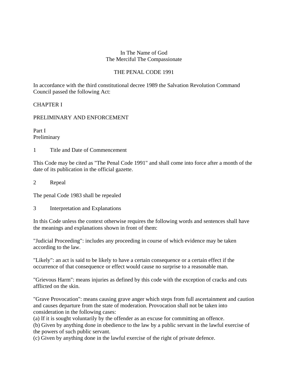#### In The Name of God The Merciful The Compassionate

## THE PENAL CODE 1991

In accordance with the third constitutional decree 1989 the Salvation Revolution Command Council passed the following Act:

#### CHAPTER I

#### PRELIMINARY AND ENFORCEMENT

Part I Preliminary

1 Title and Date of Commencement

This Code may be cited as "The Penal Code 1991" and shall come into force after a month of the date of its publication in the official gazette.

2 Repeal

The penal Code 1983 shall be repealed

3 Interpretation and Explanations

In this Code unless the context otherwise requires the following words and sentences shall have the meanings and explanations shown in front of them:

"Judicial Proceeding": includes any proceeding in course of which evidence may be taken according to the law.

"Likely": an act is said to be likely to have a certain consequence or a certain effect if the occurrence of that consequence or effect would cause no surprise to a reasonable man.

"Grievous Harm": means injuries as defined by this code with the exception of cracks and cuts afflicted on the skin.

"Grave Provocation": means causing grave anger which steps from full ascertainment and caution and causes departure from the state of moderation. Provocation shall not be taken into consideration in the following cases:

(a) If it is sought voluntarily by the offender as an excuse for committing an offence.

(b) Given by anything done in obedience to the law by a public servant in the lawful exercise of the powers of such public servant.

(c) Given by anything done in the lawful exercise of the right of private defence.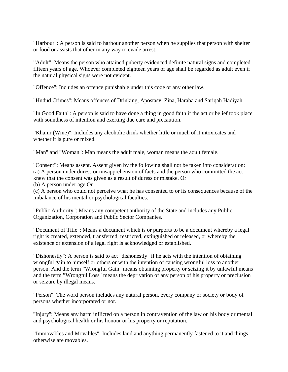"Harbour": A person is said to harbour another person when he supplies that person with shelter or food or assists that other in any way to evade arrest.

"Adult": Means the person who attained puberty evidenced definite natural signs and completed fifteen years of age. Whoever completed eighteen years of age shall be regarded as adult even if the natural physical signs were not evident.

"Offence": Includes an offence punishable under this code or any other law.

"Hudud Crimes": Means offences of Drinking, Apostasy, Zina, Haraba and Sariqah Hadiyah.

"In Good Faith": A person is said to have done a thing in good faith if the act or belief took place with soundness of intention and exerting due care and precaution.

"Khamr (Wine)": Includes any alcoholic drink whether little or much of it intoxicates and whether it is pure or mixed.

"Man" and "Woman": Man means the adult male, woman means the adult female.

"Consent": Means assent. Assent given by the following shall not be taken into consideration: (a) A person under duress or misapprehension of facts and the person who committed the act knew that the consent was given as a result of duress or mistake. Or

(b) A person under age Or

(c) A person who could not perceive what he has consented to or its consequences because of the imbalance of his mental or psychological faculties.

"Public Authority": Means any competent authority of the State and includes any Public Organization, Corporation and Public Sector Companies.

"Document of Title": Means a document which is or purports to be a document whereby a legal right is created, extended, transferred, restricted, extinguished or released, or whereby the existence or extension of a legal right is acknowledged or established.

"Dishonestly": A person is said to act "dishonestly" if he acts with the intention of obtaining wrongful gain to himself or others or with the intention of causing wrongful loss to another person. And the term "Wrongful Gain" means obtaining property or seizing it by unlawful means and the term "Wrongful Loss" means the deprivation of any person of his property or preclusion or seizure by illegal means.

"Person": The word person includes any natural person, every company or society or body of persons whether incorporated or not.

''Injury'': Means any harm inflicted on a person in contravention of the law on his body or mental and psychological health or his honour or his property or reputation.

"Immovables and Movables": Includes land and anything permanently fastened to it and things otherwise are movables.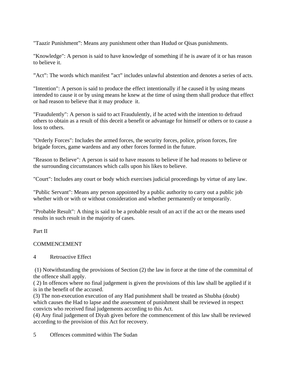"Taazir Punishment": Means any punishment other than Hudud or Qisas punishments.

"Knowledge": A person is said to have knowledge of something if he is aware of it or has reason to believe it.

"Act": The words which manifest "act" includes unlawful abstention and denotes a series of acts.

"Intention": A person is said to produce the effect intentionally if he caused it by using means intended to cause it or by using means he knew at the time of using them shall produce that effect or had reason to believe that it may produce it.

"Fraudulently": A person is said to act Fraudulently, if he acted with the intention to defraud others to obtain as a result of this deceit a benefit or advantage for himself or others or to cause a loss to others.

"Orderly Forces": Includes the armed forces, the security forces, police, prison forces, fire brigade forces, game wardens and any other forces formed in the future.

"Reason to Believe": A person is said to have reasons to believe if he had reasons to believe or the surrounding circumstances which calls upon his likes to believe.

"Court": Includes any court or body which exercises judicial proceedings by virtue of any law.

"Public Servant": Means any person appointed by a public authority to carry out a public job whether with or with or without consideration and whether permanently or temporarily.

"Probable Result": A thing is said to be a probable result of an act if the act or the means used results in such result in the majority of cases.

Part II

# COMMENCEMENT

# 4 Retroactive Effect

 (1) Notwithstanding the provisions of Section (2) the law in force at the time of the committal of the offence shall apply.

( 2) In offences where no final judgement is given the provisions of this law shall be applied if it is in the benefit of the accused.

(3) The non-execution execution of any Had punishment shall be treated as Shubha (doubt) which causes the Had to lapse and the assessment of punishment shall be reviewed in respect convicts who received final judgements according to this Act.

(4) Any final judgement of Diyah given before the commencement of this law shall be reviewed according to the provision of this Act for recovery.

5 Offences committed within The Sudan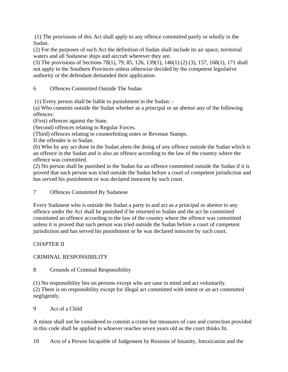(1) The provisions of this Act shall apply to any offence committed partly or wholly in the Sudan.

(2) For the purposes of such Act the definition of Sudan shall include its air space, territorial waters and all Sudanese ships and aircraft wherever they are.

(3) The provisions of Sections 78(1), 79, 85, 126, 139(1), 146(1) (2) (3), 157, 168(1), 171 shall not apply to the Southern Provinces unless otherwise decided by the competent legislative authority or the defendant demanded their application.

6 Offences Committed Outside The Sudan

(1) Every person shall be liable to punishment in the Sudan: -

(a) Who commits outside the Sudan whether as a principal or an abettor any of the following offences:

(First) offences against the State.

(Second) offences relating to Regular Forces.

(Third) offences relating to counterfeiting notes or Revenue Stamps.

If the offender is in Sudan.

(b) Who by any act done in the Sudan abets the doing of any offence outside the Sudan which is an offence in the Sudan and is also an offence according to the law of the country where the offence was committed.

(2) No person shall be punished in the Sudan for an offence committed outside the Sudan if it is proved that such person was tried outside the Sudan before a court of competent jurisdiction and has served his punishment or was declared innocent by such court.

7 Offences Committed By Sudanese

Every Sudanese who is outside the Sudan a party to and act as a principal or abettor to any offence under the Act shall be punished if he returned to Sudan and the act he committed constituted an offence according to the law of the country where the offence was committed unless it is proved that such person was tried outside the Sudan before a court of competent jurisdiction and has served his punishment or he was declared innocent by such court.

# CHAPTER II

# CRIMINAL RESPONSIBILITY

# 8 Grounds of Criminal Responsibility

(1) No responsibility lies on persons except who are sane in mind and act voluntarily. (2) There is no responsibility except for illegal act committed with intent or an act committed negligently.

9 Act of a Child

A minor shall not be considered to commit a crime but measures of care and correction provided in this code shall be applied to whoever reaches seven years old as the court thinks fit.

10 Acts of a Person Incapable of Judgement by Reasons of Insanity, Intoxication and the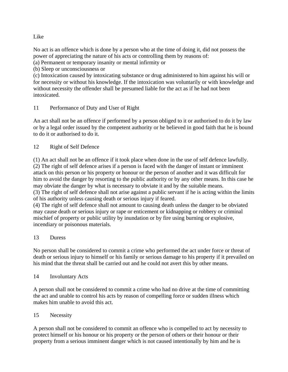## Like

No act is an offence which is done by a person who at the time of doing it, did not possess the power of appreciating the nature of his acts or controlling them by reasons of:

(a) Permanent or temporary insanity or mental infirmity or

(b) Sleep or unconsciousness or

(c) Intoxication caused by intoxicating substance or drug administered to him against his will or for necessity or without his knowledge. If the intoxication was voluntarily or with knowledge and without necessity the offender shall be presumed liable for the act as if he had not been intoxicated.

## 11 Performance of Duty and User of Right

An act shall not be an offence if performed by a person obliged to it or authorised to do it by law or by a legal order issued by the competent authority or he believed in good faith that he is bound to do it or authorised to do it.

## 12 Right of Self Defence

(1) An act shall not be an offence if it took place when done in the use of self defence lawfully. (2) The right of self defence arises if a person is faced with the danger of instant or imminent attack on this person or his property or honour or the person of another and it was difficult for him to avoid the danger by resorting to the public authority or by any other means. In this case he may obviate the danger by what is necessary to obviate it and by the suitable means. (3) The right of self defence shall not arise against a public servant if he is acting within the limits

of his authority unless causing death or serious injury if feared.

(4) The right of self defence shall not amount to causing death unless the danger to be obviated may cause death or serious injury or rape or enticement or kidnapping or robbery or criminal mischief of property or public utility by inundation or by fire using burning or explosive, incendiary or poisonous materials.

#### 13 Duress

No person shall be considered to commit a crime who performed the act under force or threat of death or serious injury to himself or his family or serious damage to his property if it prevailed on his mind that the threat shall be carried out and he could not avert this by other means.

#### 14 Involuntary Acts

A person shall not be considered to commit a crime who had no drive at the time of committing the act and unable to control his acts by reason of compelling force or sudden illness which makes him unable to avoid this act.

# 15 Necessity

A person shall not be considered to commit an offence who is compelled to act by necessity to protect himself or his honour or his property or the person of others or their honour or their property from a serious imminent danger which is not caused intentionally by him and he is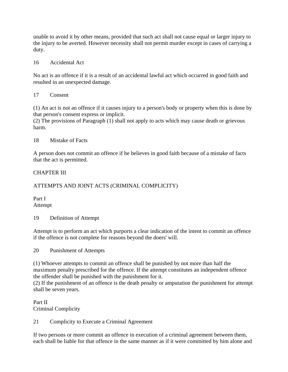unable to avoid it by other means, provided that such act shall not cause equal or larger injury to the injury to be averted. However necessity shall not permit murder except in cases of carrying a duty.

#### 16 Accidental Act

No act is an offence if it is a result of an accidental lawful act which occurred in good faith and resulted in an unexpected damage.

#### 17 Consent

(1) An act is not an offence if it causes injury to a person's body or property when this is done by that person's consent express or implicit.

(2) The provisions of Paragraph (1) shall not apply to acts which may cause death or grievous harm.

#### 18 Mistake of Facts

A person does not commit an offence if he believes in good faith because of a mistake of facts that the act is permitted.

#### CHAPTER III

## ATTEMPTS AND JOINT ACTS (CRIMINAL COMPLICITY)

Part I Attempt

19 Definition of Attempt

Attempt is to perform an act which purports a clear indication of the intent to commit an offence if the offence is not complete for reasons beyond the doers' will.

20 Punishment of Attempts

(1) Whoever attempts to commit an offence shall be punished by not more than half the maximum penalty prescribed for the offence. If the attempt constitutes an independent offence the offender shall be punished with the punishment for it.

(2) If the punishment of an offence is the death penalty or amputation the punishment for attempt shall be seven years.

Part II Criminal Complicity

21 Complicity to Execute a Criminal Agreement

If two persons or more commit an offence in execution of a criminal agreement between them, each shall be liable for that offence in the same manner as if it were committed by him alone and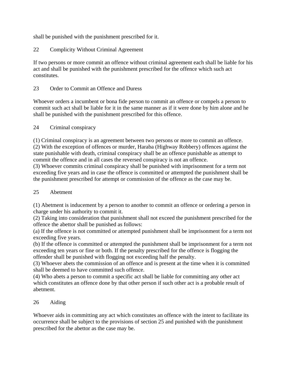shall be punished with the punishment prescribed for it.

22 Complicity Without Criminal Agreement

If two persons or more commit an offence without criminal agreement each shall be liable for his act and shall be punished with the punishment prescribed for the offence which such act constitutes.

## 23 Order to Commit an Offence and Duress

Whoever orders a incumbent or bona fide person to commit an offence or compels a person to commit such act shall be liable for it in the same manner as if it were done by him alone and he shall be punished with the punishment prescribed for this offence.

## 24 Criminal conspiracy

(1) Criminal conspiracy is an agreement between two persons or more to commit an offence. (2) With the exception of offences or murder, Haraba (Highway Robbery) offences against the state punishable with death, criminal conspiracy shall be an offence punishable as attempt to commit the offence and in all cases the reversed conspiracy is not an offence.

(3) Whoever commits criminal conspiracy shall be punished with imprisonment for a term not exceeding five years and in case the offence is committed or attempted the punishment shall be the punishment prescribed for attempt or commission of the offence as the case may be.

# 25 Abetment

(1) Abetment is inducement by a person to another to commit an offence or ordering a person in charge under his authority to commit it.

(2) Taking into consideration that punishment shall not exceed the punishment prescribed for the offence the abettor shall be punished as follows:

(a) If the offence is not committed or attempted punishment shall be imprisonment for a term not exceeding five years.

(b) If the offence is committed or attempted the punishment shall be imprisonment for a term not exceeding ten years or fine or both. If the penalty prescribed for the offence is flogging the offender shall be punished with flogging not exceeding half the penalty.

(3) Whoever abets the commission of an offence and is present at the time when it is committed shall be deemed to have committed such offence.

(4) Who abets a person to commit a specific act shall be liable for committing any other act which constitutes an offence done by that other person if such other act is a probable result of abetment.

# 26 Aiding

Whoever aids in committing any act which constitutes an offence with the intent to facilitate its occurrence shall be subject to the provisions of section 25 and punished with the punishment prescribed for the abettor as the case may be.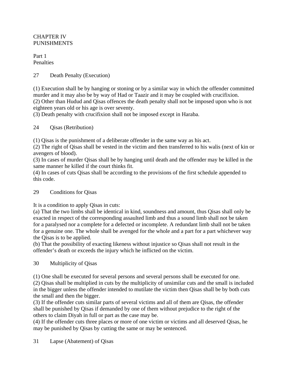## CHAPTER IV PUNISHMENTS

Part 1 Penalties

## 27 Death Penalty (Execution)

(1) Execution shall be by hanging or stoning or by a similar way in which the offender committed murder and it may also be by way of Had or Taazir and it may be coupled with crucifixion. (2) Other than Hudud and Qisas offences the death penalty shall not be imposed upon who is not eighteen years old or his age is over seventy.

(3) Death penalty with crucifixion shall not be imposed except in Haraba.

## 24 Qisas (Retribution)

(1) Qisas is the punishment of a deliberate offender in the same way as his act.

(2) The right of Qisas shall be vested in the victim and then transferred to his walis (next of kin or avengers of blood).

(3) In cases of murder Qisas shall be by hanging until death and the offender may be killed in the same manner he killed if the court thinks fit.

(4) In cases of cuts Qisas shall be according to the provisions of the first schedule appended to this code.

# 29 Conditions for Qisas

It is a condition to apply Qisas in cuts:

(a) That the two limbs shall be identical in kind, soundness and amount, thus Qisas shall only be exacted in respect of the corresponding assaulted limb and thus a sound limb shall not be taken for a paralysed nor a complete for a defected or incomplete. A redundant limb shall not be taken for a genuine one. The whole shall be avenged for the whole and a part for a part whichever way the Qisas is to be applied.

(b) That the possibility of exacting likeness without injustice so Qisas shall not result in the offender's death or exceeds the injury which he inflicted on the victim.

# 30 Multiplicity of Qisas

(1) One shall be executed for several persons and several persons shall be executed for one. (2) Qisas shall be multiplied in cuts by the multiplicity of unsimilar cuts and the small is included in the bigger unless the offender intended to mutilate the victim then Qisas shall be by both cuts the small and then the bigger.

(3) If the offender cuts similar parts of several victims and all of them are Qisas, the offender shall be punished by Qisas if demanded by one of them without prejudice to the right of the others to claim Diyah in full or part as the case may be.

(4) If the offender cuts three places or more of one victim or victims and all deserved Qisas, he may be punished by Qisas by cutting the same or may be sentenced.

#### 31 Lapse (Abatement) of Qisas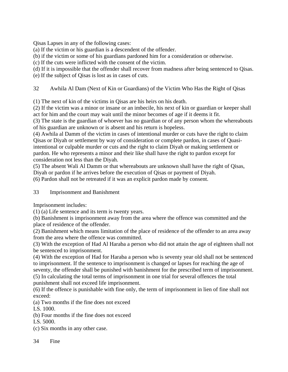Qisas Lapses in any of the following cases:

(a) If the victim or his guardian is a descendent of the offender.

(b) if the victim or some of his guardians pardoned him for a consideration or otherwise.

(c) If the cuts were inflicted with the consent of the victim.

(d) If it is impossible that the offender shall recover from madness after being sentenced to Qisas.

(e) If the subject of Qisas is lost as in cases of cuts.

32 Awhila Al Dam (Next of Kin or Guardians) of the Victim Who Has the Right of Qisas

(1) The next of kin of the victims in Qisas are his heirs on his death.

(2) If the victim was a minor or insane or an imbecile, his next of kin or guardian or keeper shall act for him and the court may wait until the minor becomes of age if it deems it fit.

(3) The state is the guardian of whoever has no guardian or of any person whom the whereabouts of his guardian are unknown or is absent and his return is hopeless.

(4) Awhila al Damm of the victim in cases of intentional murder or cuts have the right to claim Qisas or Diyah or settlement by way of consideration or complete pardon, in cases of Quasiintentional or culpable murder or cuts and the right to claim Diyah or making settlement or pardon. He who represents a minor and their like shall have the right to pardon except for consideration not less than the Diyah.

(5) The absent Wali Al Damm or that whereabouts are unknown shall have the right of Qisas, Diyah or pardon if he arrives before the execution of Qisas or payment of Diyah.

(6) Pardon shall not be retreated if it was an explicit pardon made by consent.

33 Imprisonment and Banishment

Imprisonment includes:

(1) (a) Life sentence and its term is twenty years.

(b) Banishment is imprisonment away from the area where the offence was committed and the place of residence of the offender.

(2) Banishment which means limitation of the place of residence of the offender to an area away from the area where the offence was committed.

(3) With the exception of Had Al Haraba a person who did not attain the age of eighteen shall not be sentenced to imprisonment.

(4) With the exception of Had for Haraba a person who is seventy year old shall not be sentenced to imprisonment. If the sentence to imprisonment is changed or lapses for reaching the age of seventy, the offender shall be punished with banishment for the prescribed term of imprisonment. (5) In calculating the total terms of imprisonment in one trial for several offences the total punishment shall not exceed life imprisonment.

(6) If the offence is punishable with fine only, the term of imprisonment in lien of fine shall not exceed:

(a) Two months if the fine does not exceed

LS. 1000.

(b) Four months if the fine does not exceed

LS. 5000.

(c) Six months in any other case.

34 Fine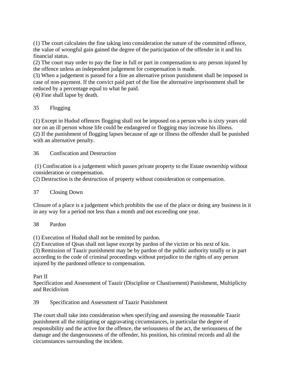(1) The court calculates the fine taking into consideration the nature of the committed offence, the value of wrongful gain gained the degree of the participation of the offender in it and his financial status.

(2) The court may order to pay the fine in full or part in compensation to any person injured by the offence unless an independent judgement for compensation is made.

(3) When a judgement is passed for a fine an alternative prison punishment shall be imposed in case of non-payment. If the convict paid part of the fine the alternative imprisonment shall be reduced by a percentage equal to what he paid.

(4) Fine shall lapse by death.

## 35 Flogging

(1) Except in Hudud offences flogging shall not be imposed on a person who is sixty years old nor on an ill person whose life could be endangered or flogging may increase his illness. (2) If the punishment of flogging lapses because of age or illness the offender shall be punished with an alternative penalty.

36 Confiscation and Destruction

 (1) Confiscation is a judgement which passes private property to the Estate ownership without consideration or compensation.

(2) Destruction is the destruction of property without consideration or compensation.

#### 37 Closing Down

Closure of a place is a judgement which prohibits the use of the place or doing any business in it in any way for a period not less than a month and not exceeding one year.

#### 38 Pardon

(1) Execution of Hudud shall not be remitted by pardon.

(2) Execution of Qisas shall not lapse except by pardon of the victim or his next of kin. (3) Remission of Taazir punishment may be by pardon of the public authority totally or in part

according to the code of criminal proceedings without prejudice to the rights of any person injured by the pardoned offence to compensation.

Part II

Specification and Assessment of Taazir (Discipline or Chastisement) Punishment, Multiplicity and Recidivism

39 Specification and Assessment of Taazir Punishment

The court shall take into consideration when specifying and assessing the reasonable Taazir punishment all the mitigating or aggravating circumstances, in particular the degree of responsibility and the active for the offence, the seriousness of the act, the seriousness of the damage and the dangerousness of the offender, his position, his criminal records and all the circumstances surrounding the incident.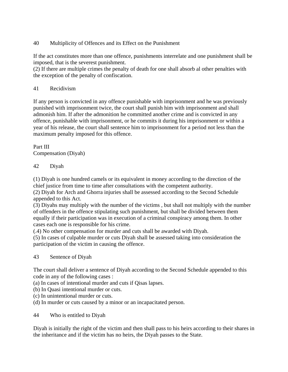# 40 Multiplicity of Offences and its Effect on the Punishment

If the act constitutes more than one offence, punishments interrelate and one punishment shall be imposed, that is the severest punishment.

(2) If there are multiple crimes the penalty of death for one shall absorb al other penalties with the exception of the penalty of confiscation.

## 41 Recidivism

If any person is convicted in any offence punishable with imprisonment and he was previously punished with imprisonment twice, the court shall punish him with imprisonment and shall admonish him. If after the admonition he committed another crime and is convicted in any offence, punishable with imprisonment, or he commits it during his imprisonment or within a year of his release, the court shall sentence him to imprisonment for a period not less than the maximum penalty imposed for this offence.

Part III Compensation (Diyah)

# 42 Diyah

(1) Diyah is one hundred camels or its equivalent in money according to the direction of the chief justice from time to time after consultations with the competent authority.

(2) Diyah for Arch and Ghorra injuries shall be assessed according to the Second Schedule appended to this Act.

(3) Diyahs may multiply with the number of the victims , but shall not multiply with the number of offenders in the offence stipulating such punishment, but shall be divided between them equally if their participation was in execution of a criminal conspiracy among them. In other cases each one is responsible for his crime.

(.4) No other compensation for murder and cuts shall be awarded with Diyah.

(5) In cases of culpable murder or cuts Diyah shall be assessed taking into consideration the participation of the victim in causing the offence.

#### 43 Sentence of Diyah

The court shall deliver a sentence of Diyah according to the Second Schedule appended to this code in any of the following cases :

(a) In cases of intentional murder and cuts if Qisas lapses.

(b) In Quasi intentional murder or cuts.

(c) In unintentional murder or cuts.

(d) In murder or cuts caused by a minor or an incapacitated person.

#### 44 Who is entitled to Diyah

Diyah is initially the right of the victim and then shall pass to his heirs according to their shares in the inheritance and if the victim has no heirs, the Diyah passes to the State.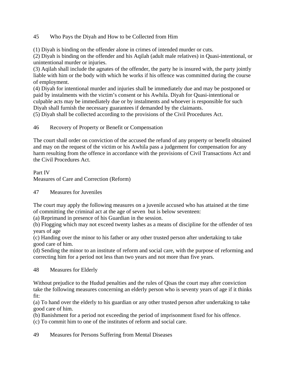## 45 Who Pays the Diyah and How to be Collected from Him

(1) Diyah is binding on the offender alone in crimes of intended murder or cuts.

(2) Diyah is binding on the offender and his Aqilah (adult male relatives) in Quasi-intentional, or unintentional murder or injuries.

(3) Aqilah shall include the agnates of the offender, the party he is insured with, the party jointly liable with him or the body with which he works if his offence was committed during the course of employment.

(4) Diyah for intentional murder and injuries shall be immediately due and may be postponed or paid by instalments with the victim's consent or his Awhila. Diyah for Quasi-intentional or culpable acts may be immediately due or by instalments and whoever is responsible for such Diyah shall furnish the necessary guarantees if demanded by the claimants.

(5) Diyah shall be collected according to the provisions of the Civil Procedures Act.

46 Recovery of Property or Benefit or Compensation

The court shall order on conviction of the accused the refund of any property or benefit obtained and may on the request of the victim or his Awhila pass a judgement for compensation for any harm resulting from the offence in accordance with the provisions of Civil Transactions Act and the Civil Procedures Act.

Part IV Measures of Care and Correction (Reform)

47 Measures for Juveniles

The court may apply the following measures on a juvenile accused who has attained at the time of committing the criminal act at the age of seven but is below seventeen:

(a) Reprimand in presence of his Guardian in the session.

(b) Flogging which may not exceed twenty lashes as a means of discipline for the offender of ten years of age

(c) Handing over the minor to his father or any other trusted person after undertaking to take good care of him.

(d) Sending the minor to an institute of reform and social care, with the purpose of reforming and correcting him for a period not less than two years and not more than five years.

48 Measures for Elderly

Without prejudice to the Hudud penalties and the rules of Qisas the court may after conviction take the following measures concerning an elderly person who is seventy years of age if it thinks fit:

(a) To hand over the elderly to his guardian or any other trusted person after undertaking to take good care of him.

(b) Banishment for a period not exceeding the period of imprisonment fixed for his offence.

(c) To commit him to one of the institutes of reform and social care.

49 Measures for Persons Suffering from Mental Diseases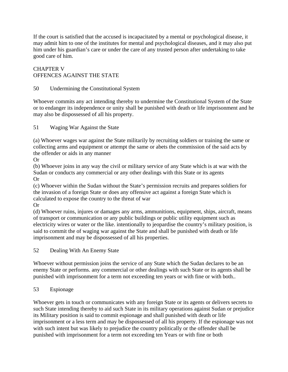If the court is satisfied that the accused is incapacitated by a mental or psychological disease, it may admit him to one of the institutes for mental and psychological diseases, and it may also put him under his guardian's care or under the care of any trusted person after undertaking to take good care of him.

# CHAPTER V OFFENCES AGAINST THE STATE

# 50 Undermining the Constitutional System

Whoever commits any act intending thereby to undermine the Constitutional System of the State or to endanger its independence or unity shall be punished with death or life imprisonment and he may also be dispossessed of all his property.

51 Waging War Against the State

(a) Whoever wages war against the State militarily by recruiting soldiers or training the same or collecting arms and equipment or attempt the same or abets the commission of the said acts by the offender or aids in any manner

Or

(b) Whoever joins in any way the civil or military service of any State which is at war with the Sudan or conducts any commercial or any other dealings with this State or its agents Or

(c) Whoever within the Sudan without the State's permission recruits and prepares soldiers for the invasion of a foreign State or does any offensive act against a foreign State which is calculated to expose the country to the threat of war

Or

(d) Whoever ruins, injures or damages any arms, ammunitions, equipment, ships, aircraft, means of transport or communication or any public buildings or public utility equipment such as electricity wires or water or the like. intentionally to jeopardise the country's military position, is said to commit the of waging war against the State and shall be punished with death or life imprisonment and may be dispossessed of all his properties.

52 Dealing With An Enemy State

Whoever without permission joins the service of any State which the Sudan declares to be an enemy State or performs. any commercial or other dealings with such State or its agents shall be punished with imprisonment for a term not exceeding ten years or with fine or with both..

# 53 Espionage

Whoever gets in touch or communicates with any foreign State or its agents or delivers secrets to such State intending thereby to aid such State in its military operations against Sudan or prejudice its Military position is said to commit espionage and shall punished with death or life imprisonment or a less term and may be dispossessed of all his property. If the espionage was not with such intent but was likely to prejudice the country politically or the offender shall be punished with imprisonment for a term not exceeding ten Years or with fine or both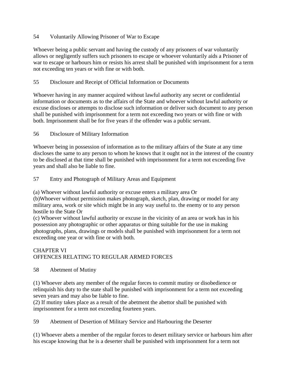## 54 Voluntarily Allowing Prisoner of War to Escape

Whoever being a public servant and having the custody of any prisoners of war voluntarily allows or negligently suffers such prisoners to escape or whoever voluntarily aids a Prisoner of war to escape or harbours him or resists his arrest shall be punished with imprisonment for a term not exceeding ten years or with fine or with both.

## 55 Disclosure and Receipt of Official Information or Documents

Whoever having in any manner acquired without lawful authority any secret or confidential information or documents as to the affairs of the State and whoever without lawful authority or excuse discloses or attempts to disclose such information or deliver such document to any person shall be punished with imprisonment for a term not exceeding two years or with fine or with both. Imprisonment shall be for five years if the offender was a public servant.

## 56 Disclosure of Military Information

Whoever being in possession of information as to the military affairs of the State at any time discloses the same to any person to whom he knows that it ought not in the interest of the country to be disclosed at that time shall be punished with imprisonment for a term not exceeding five years and shall also be liable to fine.

## 57 Entry and Photograph of Military Areas and Equipment

(a) Whoever without lawful authority or excuse enters a military area Or

(b)Whoever without permission makes photograph, sketch, plan, drawing or model for any military area, work or site which might be in any way useful to. the enemy or to any person hostile to the State Or

(c) Whoever without lawful authority or excuse in the vicinity of an area or work has in his possession any photographic or other apparatus or thing suitable for the use in making photographs, plans, drawings or models shall be punished with imprisonment for a term not exceeding one year or with fine or with both.

# CHAPTER VI OFFENCES RELATING TO REGULAR ARMED FORCES

58 Abetment of Mutiny

(1) Whoever abets any member of the regular forces to commit mutiny or disobedience or relinquish his duty to the state shall be punished with imprisonment for a term not exceeding seven years and may also be liable to fine.

(2) If mutiny takes place as a result of the abetment the abettor shall be punished with imprisonment for a term not exceeding fourteen years.

59 Abetment of Desertion of Military Service and Harbouring the Deserter

(1) Whoever abets a member of the regular forces to desert military service or harbours him after his escape knowing that he is a deserter shall be punished with imprisonment for a term not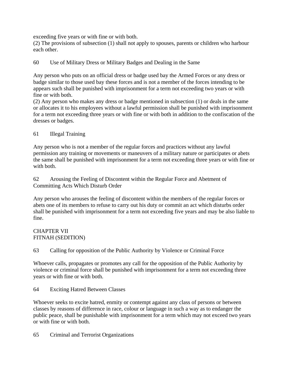exceeding five years or with fine or with both.

(2) The provisions of subsection (1) shall not apply to spouses, parents or children who harbour each other.

60 Use of Military Dress or Military Badges and Dealing in the Same

Any person who puts on an official dress or badge used bay the Armed Forces or any dress or badge similar to those used bay these forces and is not a member of the forces intending to be appears such shall be punished with imprisonment for a term not exceeding two years or with fine or with both.

(2) Any person who makes any dress or badge mentioned in subsection (1) or deals in the same or allocates it to his employees without a lawful permission shall be punished with imprisonment for a term not exceeding three years or with fine or with both in addition to the confiscation of the dresses or badges.

#### 61 Illegal Training

Any person who is not a member of the regular forces and practices without any lawful permission any training or movements or maneuvers of a military nature or participates or abets the same shall be punished with imprisonment for a term not exceeding three years or with fine or with both.

62 Arousing the Feeling of Discontent within the Regular Force and Abetment of Committing Acts Which Disturb Order

Any person who arouses the feeling of discontent within the members of the regular forces or abets one of its members to refuse to carry out his duty or commit an act which disturbs order shall be punished with imprisonment for a term not exceeding five years and may be also liable to fine.

#### CHAPTER VII FITNAH (SEDITION)

63 Calling for opposition of the Public Authority by Violence or Criminal Force

Whoever calls, propagates or promotes any call for the opposition of the Public Authority by violence or criminal force shall be punished with imprisonment for a term not exceeding three years or with fine or with both.

64 Exciting Hatred Between Classes

Whoever seeks to excite hatred, enmity or contempt against any class of persons or between classes by reasons of difference in race, colour or language in such a way as to endanger the public peace, shall be punishable with imprisonment for a term which may not exceed two years or with fine or with both.

65 Criminal and Terrorist Organizations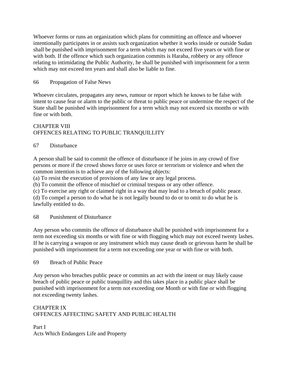Whoever forms or runs an organization which plans for committing an offence and whoever intentionally participates in or assists such organization whether it works inside or outside Sudan shall be punished with imprisonment for a term which may not exceed five years or with fine or with both. If the offence which such organization commits is Haraba, robbery or any offence relating to intimidating the Public Authority, he shall be punished with imprisonment for a term which may not exceed ten years and shall also be liable to fine.

#### 66 Propagation of False News

Whoever circulates, propagates any news, rumour or report which he knows to be false with intent to cause fear or alarm to the public or threat to public peace or undermine the respect of the State shall be punished with imprisonment for a term which may not exceed six months or with fine or with both.

#### CHAPTER VIII OFFENCES RELATING TO PUBLIC TRANQUILLITY

#### 67 Disturbance

A person shall be said to commit the offence of disturbance if he joins in any crowd of five persons or more if the crowd shows force or uses force or terrorism or violence and when the common intention is to achieve any of the following objects:

(a) To resist the execution of provisions of any law or any legal process.

(b) To commit the offence of mischief or criminal trespass or any other offence.

(c) To exercise any right or claimed right in a way that may lead to a breach of public peace.

(d) To compel a person to do what he is not legally bound to do or to omit to do what he is lawfully entitled to do.

#### 68 Punishment of Disturbance

Any person who commits the offence of disturbance shall be punished with imprisonment for a term not exceeding six months or with fine or with flogging which may not exceed twenty lashes. If he is carrying a weapon or any instrument which may cause death or grievous harm he shall be punished with imprisonment for a term not exceeding one year or with fine or with both.

69 Breach of Public Peace

Any person who breaches public peace or commits an act with the intent or may likely cause breach of public peace or public tranquillity and this takes place in a public place shall be punished with imprisonment for a term not exceeding one Month or with fine or with flogging not exceeding twenty lashes.

## CHAPTER IX OFFENCES AFFECTING SAFETY AND PUBLIC HEALTH

Part I Acts Which Endangers Life and Property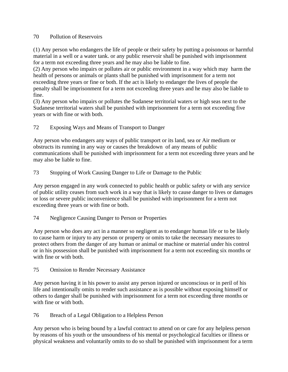#### 70 Pollution of Reservoirs

(1) Any person who endangers the life of people or their safety by putting a poisonous or harmful material in a well or a water tank. or any public reservoir shall be punished with imprisonment for a term not exceeding three years and he may also be liable to fine.

(2) Any person who impairs or pollutes air or public environment in a way which may harm the health of persons or animals or plants shall be punished with imprisonment for a term not exceeding three years or fine or both. If the act is likely to endanger the lives of people the penalty shall be imprisonment for a term not exceeding three years and he may also be liable to fine.

(3) Any person who impairs or pollutes the Sudanese territorial waters or high seas next to the Sudanese territorial waters shall be punished with imprisonment for a term not exceeding five years or with fine or with both.

72 Exposing Ways and Means of Transport to Danger

Any person who endangers any ways of public transport or its land, sea or Air medium or obstructs its running in any way or causes the breakdown of any means of public communications shall be punished with imprisonment for a term not exceeding three years and he may also be liable to fine.

73 Stopping of Work Causing Danger to Life or Damage to the Public

Any person engaged in any work connected to public health or public safety or with any service of public utility ceases from such work in a way that is likely to cause danger to lives or damages or loss or severe public inconvenience shall be punished with imprisonment for a term not exceeding three years or with fine or both.

#### 74 Negligence Causing Danger to Person or Properties

Any person who does any act in a manner so negligent as to endanger human life or to be likely to cause harm or injury to any person or property or omits to take the necessary measures to protect others from the danger of any human or animal or machine or material under his control or in his possession shall be punished with imprisonment for a term not exceeding six months or with fine or with both.

75 Omission to Render Necessary Assistance

Any person having it in his power to assist any person injured or unconscious or in peril of his life and intentionally omits to render such assistance as is possible without exposing himself or others to danger shall be punished with imprisonment for a term not exceeding three months or with fine or with both.

76 Breach of a Legal Obligation to a Helpless Person

Any person who is being bound by a lawful contract to attend on or care for any helpless person by reasons of his youth or the unsoundness of his mental or psychological faculties or illness or physical weakness and voluntarily omits to do so shall be punished with imprisonment for a term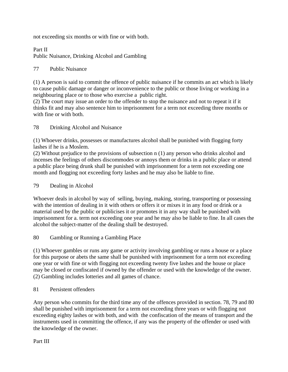not exceeding six months or with fine or with both.

Part II Public Nuisance, Drinking Alcohol and Gambling

## 77 Public Nuisance

(1) A person is said to commit the offence of public nuisance if he commits an act which is likely to cause public damage or danger or inconvenience to the public or those living or working in a neighbouring place or to those who exercise a public right.

(2) The court may issue an order to the offender to stop the nuisance and not to repeat it if it thinks fit and may also sentence him to imprisonment for a term not exceeding three months or with fine or with both.

#### 78 Drinking Alcohol and Nuisance

(1) Whoever drinks, possesses or manufactures alcohol shall be punished with flogging forty lashes if he is a Moslem.

(2) Without prejudice to the provisions of subsection n (1) any person who drinks alcohol and incenses the feelings of others discommodes or annoys them or drinks in a public place or attend a public place being drunk shall be punished with imprisonment for a term not exceeding one month and flogging not exceeding forty lashes and he may also be liable to fine.

## 79 Dealing in Alcohol

Whoever deals in alcohol by way of selling, buying, making, storing, transporting or possessing with the intention of dealing in it with others or offers it or mixes it in any food or drink or a material used by the public or publicises it or promotes it in any way shall be punished with imprisonment for a. term not exceeding one year and he may also be liable to fine. In all cases the alcohol the subject-matter of the dealing shall be destroyed.

#### 80 Gambling or Running a Gambling Place

(1) Whoever gambles or runs any game or activity involving gambling or runs a house or a place for this purpose or abets the same shall be punished with imprisonment for a term not exceeding one year or with fine or with flogging not exceeding twenty five lashes and the house or place may be closed or confiscated if owned by the offender or used with the knowledge of the owner. (2) Gambling includes lotteries and all games of chance.

81 Persistent offenders

Any person who commits for the third time any of the offences provided in section. 78, 79 and 80 shall be punished with imprisonment for a term not exceeding three years or with flogging not exceeding eighty lashes or with both, and with the confiscation of the means of transport and the instruments used in committing the offence, if any was the property of the offender or used with the knowledge of the owner.

Part III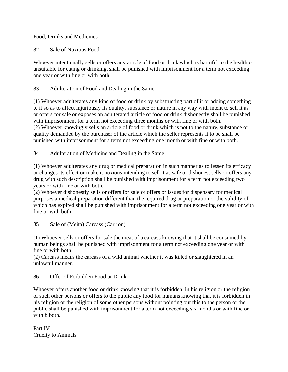Food, Drinks and Medicines

82 Sale of Noxious Food

Whoever intentionally sells or offers any article of food or drink which is harmful to the health or unsuitable for eating or drinking. shall be punished with imprisonment for a term not exceeding one year or with fine or with both.

83 Adulteration of Food and Dealing in the Same

(1) Whoever adulterates any kind of food or drink by substructing part of it or adding something to it so as to affect injuriously its quality, substance or nature in any way with intent to sell it as or offers for sale or exposes an adulterated article of food or drink dishonestly shall be punished with imprisonment for a term not exceeding three months or with fine or with both. (2) Whoever knowingly sells an article of food or drink which is not to the nature, substance or quality demanded by the purchaser of the article which the seller represents it to be shall be punished with imprisonment for a term not exceeding one month or with fine or with both.

84 Adulteration of Medicine and Dealing in the Same

(1) Whoever adulterates any drug or medical preparation in such manner as to lessen its efficacy or changes its effect or make it noxious intending to sell it as safe or dishonest sells or offers any drug with such description shall be punished with imprisonment for a term not exceeding two years or with fine or with both.

(2) Whoever dishonestly sells or offers for sale or offers or issues for dispensary for medical purposes a medical preparation different than the required drug or preparation or the validity of which has expired shall be punished with imprisonment for a term not exceeding one year or with fine or with both.

85 Sale of (Meita) Carcass (Carrion)

(1) Whoever sells or offers for sale the meat of a carcass knowing that it shall be consumed by human beings shall be punished with imprisonment for a term not exceeding one year or with fine or with both.

(2) Carcass means the carcass of a wild animal whether it was killed or slaughtered in an unlawful manner.

86 Offer of Forbidden Food or Drink

Whoever offers another food or drink knowing that it is forbidden in his religion or the religion of such other persons or offers to the public any food for humans knowing that it is forbidden in his religion or the religion of some other persons without pointing out this to the person or the public shall be punished with imprisonment for a term not exceeding six months or with fine or with b both.

Part IV Cruelty to Animals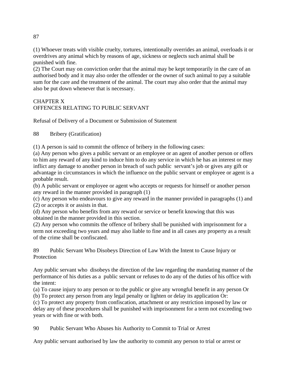(1) Whoever treats with visible cruelty, tortures, intentionally overrides an animal, overloads it or overdrives any animal which by reasons of age, sickness or neglects such animal shall be punished with fine.

(2) The Court may on conviction order that the animal may be kept temporarily in the care of an authorised body and it may also order the offender or the owner of such animal to pay a suitable sum for the care and the treatment of the animal. The court may also order that the animal may also be put down whenever that is necessary.

# CHAPTER X OFFENCES RELATING TO PUBLIC SERVANT

Refusal of Delivery of a Document or Submission of Statement

88 Bribery (Gratification)

(1) A person is said to commit the offence of bribery in the following cases:

(a) Any person who gives a public servant or an employee or an agent of another person or offers to him any reward of any kind to induce him to do any service in which he has an interest or may inflict any damage to another person in breach of such public servant's job or gives any gift or advantage in circumstances in which the influence on the public servant or employee or agent is a probable result.

(b) A public servant or employee or agent who accepts or requests for himself or another person any reward in the manner provided in paragraph (1)

(c) Any person who endeavours to give any reward in the manner provided in paragraphs (1) and (2) or accepts it or assists in that.

(d) Any person who benefits from any reward or service or benefit knowing that this was obtained in the manner provided in this section.

(2) Any person who commits the offence of bribery shall be punished with imprisonment for a term not exceeding two years and may also liable to fine and in all cases any property as a result of the crime shall be confiscated.

89 Public Servant Who Disobeys Direction of Law With the Intent to Cause Injury or **Protection** 

Any public servant who disobeys the direction of the law regarding the mandating manner of the performance of his duties as a public servant or refuses to do any of the duties of his office with the intent:

(a) To cause injury to any person or to the public or give any wrongful benefit in any person Or (b) To protect any person from any legal penalty or lighten or delay its application Or:

(c) To protect any property from confiscation, attachment or any restriction imposed by law or delay any of these procedures shall be punished with imprisonment for a term not exceeding two years or with fine or with both.

90 Public Servant Who Abuses his Authority to Commit to Trial or Arrest

Any public servant authorised by law the authority to commit any person to trial or arrest or

87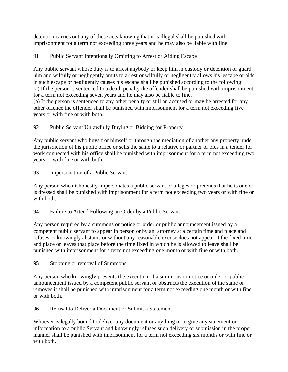detention carries out any of these acts knowing that it is illegal shall be punished with imprisonment for a term not exceeding three years and he may also be liable with fine.

# 91 Public Servant Intentionally Omitting to Arrest or Aiding Escape

Any public servant whose duty is to arrest anybody or keep him in custody or detention or guard him and wilfully or negligently omits to arrest or wilfully or negligently allows his escape or aids in such escape or negligently causes his escape shall be punished according to the following: (a) If the person is sentenced to a death penalty the offender shall be punished with imprisonment for a term not exceeding seven years and he may also be liable to fine.

(b) If the person is sentenced to any other penalty or still an accused or may be arrested for any other offence the offender shall be punished with imprisonment for a term not exceeding five years or with fine or with both.

# 92 Public Servant Unlawfully Buying or Bidding for Property

Any public servant who buys f or himself or through the mediation of another any property under the jurisdiction of his public office or sells the same to a relative or partner or bids in a tender for work connected with his office shall be punished with imprisonment for a term not exceeding two years or with fine or with both.

93 Impersonation of a Public Servant

Any person who dishonestly impersonates a public servant or alleges or pretends that he is one or is dressed shall be punished with imprisonment for a term not exceeding two years or with fine or with both.

94 Failure to Attend Following an Order by a Public Servant

Any person required by a summons or notice or order or public announcement issued by a competent public servant to appear in person or by an attorney at a certain time and place and refuses or knowingly abstains or without any reasonable excuse does not appear at the fixed time and place or leaves that place before the time fixed in which he is allowed to leave shall be punished with imprisonment for a term not exceeding one month or with fine or with both.

95 Stopping or removal of Summons

Any person who knowingly prevents the execution of a summons or notice or order or public announcement issued by a competent public servant or obstructs the execution of the same or removes it shall be punished with imprisonment for a term not exceeding one month or with fine or with both.

96 Refusal to Deliver a Document or Submit a Statement

Whoever is legally bound to deliver any document or anything or to give any statement or information to a public Servant and knowingly refuses such delivery or submission in the proper manner shall be punished with imprisonment for a term not exceeding six months or with fine or with both.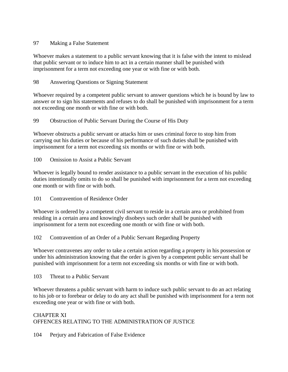#### 97 Making a False Statement

Whoever makes a statement to a public servant knowing that it is false with the intent to mislead that public servant or to induce him to act in a certain manner shall be punished with imprisonment for a term not exceeding one year or with fine or with both.

#### 98 Answering Questions or Signing Statement

Whoever required by a competent public servant to answer questions which he is bound by law to answer or to sign his statements and refuses to do shall be punished with imprisonment for a term not exceeding one month or with fine or with both.

#### 99 Obstruction of Public Servant During the Course of His Duty

Whoever obstructs a public servant or attacks him or uses criminal force to stop him from carrying out his duties or because of his performance of such duties shall be punished with imprisonment for a term not exceeding six months or with fine or with both.

100 Omission to Assist a Public Servant

Whoever is legally bound to render assistance to a public servant in the execution of his public duties intentionally omits to do so shall be punished with imprisonment for a term not exceeding one month or with fine or with both.

101 Contravention of Residence Order

Whoever is ordered by a competent civil servant to reside in a certain area or prohibited from residing in a certain area and knowingly disobeys such order shall be punished with imprisonment for a term not exceeding one month or with fine or with both.

102 Contravention of an Order of a Public Servant Regarding Property

Whoever contravenes any order to take a certain action regarding a property in his possession or under his administration knowing that the order is given by a competent public servant shall be punished with imprisonment for a term not exceeding six months or with fine or with both.

103 Threat to a Public Servant

Whoever threatens a public servant with harm to induce such public servant to do an act relating to his job or to forebear or delay to do any act shall be punished with imprisonment for a term not exceeding one year or with fine or with both.

# CHAPTER XI OFFENCES RELATING TO THE ADMINISTRATION OF JUSTICE

104 Perjury and Fabrication of False Evidence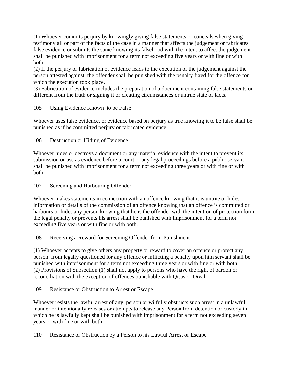(1) Whoever commits perjury by knowingly giving false statements or conceals when giving testimony all or part of the facts of the case in a manner that affects the judgement or fabricates false evidence or submits the same knowing its falsehood with the intent to affect the judgement shall be punished with imprisonment for a term not exceeding five years or with fine or with both.

(2) If the perjury or fabrication of evidence leads to the execution of the judgement against the person attested against, the offender shall be punished with the penalty fixed for the offence for which the execution took place.

(3) Fabrication of evidence includes the preparation of a document containing false statements or different from the truth or signing it or creating circumstances or untrue state of facts.

## 105 Using Evidence Known to be False

Whoever uses false evidence, or evidence based on perjury as true knowing it to be false shall be punished as if he committed perjury or fabricated evidence.

## 106 Destruction or Hiding of Evidence

Whoever hides or destroys a document or any material evidence with the intent to prevent its submission or use as evidence before a court or any legal proceedings before a public servant shall be punished with imprisonment for a term not exceeding three years or with fine or with both.

## 107 Screening and Harbouring Offender

Whoever makes statements in connection with an offence knowing that it is untrue or hides information or details of the commission of an offence knowing that an offence is committed or harbours or hides any person knowing that he is the offender with the intention of protection form the legal penalty or prevents his arrest shall be punished with imprisonment for a term not exceeding five years or with fine or with both.

#### 108 Receiving a Reward for Screening Offender from Punishment

(1) Whoever accepts to give others any property or reward to cover an offence or protect any person from legally questioned for any offence or inflicting a penalty upon him servant shall be punished with imprisonment for a term not exceeding three years or with fine or with both. (2) Provisions of Subsection (1) shall not apply to persons who have the right of pardon or reconciliation with the exception of offences punishable with Qisas or Diyah

109 Resistance or Obstruction to Arrest or Escape

Whoever resists the lawful arrest of any person or wilfully obstructs such arrest in a unlawful manner or intentionally releases or attempts to release any Person from detention or custody in which he is lawfully kept shall be punished with imprisonment for a term not exceeding seven years or with fine or with both

110 Resistance or Obstruction by a Person to his Lawful Arrest or Escape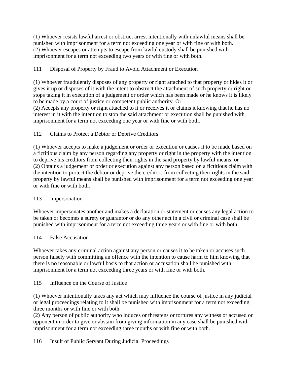(1) Whoever resists lawful arrest or obstruct arrest intentionally with unlawful means shall be punished with imprisonment for a term not exceeding one year or with fine or with both. (2) Whoever escapes or attempts to escape from lawful custody shall be punished with imprisonment for a term not exceeding two years or with fine or with both.

# 111 Disposal of Property by Fraud to Avoid Attachment or Execution

(1) Whoever fraudulently disposes of any property or right attached to that property or hides it or gives it up or disposes of it with the intent to obstruct the attachment of such property or right or stops taking it in execution of a judgement or order which has been made or he knows it is likely to be made by a court of justice or competent public authority. Or

(2) Accepts any property or right attached to it or receives it or claims it knowing that he has no interest in it with the intention to stop the said attachment or execution shall be punished with imprisonment for a term not exceeding one year or with fine or with both.

## 112 Claims to Protect a Debtor or Deprive Creditors

(1) Whoever accepts to make a judgement or order or execution or causes it to be made based on a fictitious claim by any person regarding any property or right in the property with the intention to deprive his creditors from collecting their rights in the said property by lawful means: or (2) Obtains a judgement or order or execution against any person based on a fictitious claim with the intention to protect the debtor or deprive the creditors from collecting their rights in the said property by lawful means shall be punished with imprisonment for a term not exceeding one year or with fine or with both.

#### 113 Impersonation

Whoever impersonates another and makes a declaration or statement or causes any legal action to be taken or becomes a surety or guarantor or do any other act in a civil or criminal case shall be punished with imprisonment for a term not exceeding three years or with fine or with both.

#### 114 False Accusation

Whoever takes any criminal action against any person or causes it to be taken or accuses such person falsely with committing an offence with the intention to cause harm to him knowing that there is no reasonable or lawful basis to that action or accusation shall be punished with imprisonment for a term not exceeding three years or with fine or with both.

# 115 Influence on the Course of Justice

(1) Whoever intentionally takes any act which may influence the course of justice in any judicial or legal proceedings relating to it shall be punished with imprisonment for a term not exceeding three months or with fine or with both.

(2) Any person of public authority who induces or threatens or tortures any witness or accused or opponent in order to give or abstain from giving information in any case shall be punished with imprisonment for a term not exceeding three months or with fine or with both.

116 Insult of Public Servant During Judicial Proceedings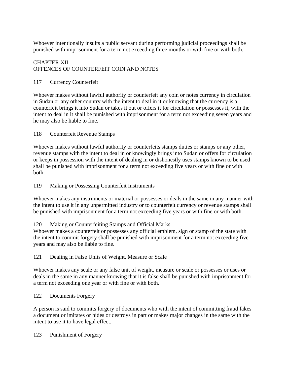Whoever intentionally insults a public servant during performing judicial proceedings shall be punished with imprisonment for a term not exceeding three months or with fine or with both.

## CHAPTER XII OFFENCES OF COUNTERFEIT COIN AND NOTES

#### 117 Currency Counterfeit

Whoever makes without lawful authority or counterfeit any coin or notes currency in circulation in Sudan or any other country with the intent to deal in it or knowing that the currency is a counterfeit brings it into Sudan or takes it out or offers it for circulation or possesses it, with the intent to deal in it shall be punished with imprisonment for a term not exceeding seven years and he may also be liable to fine.

#### 118 Counterfeit Revenue Stamps

Whoever makes without lawful authority or counterfeits stamps duties or stamps or any other, revenue stamps with the intent to deal in or knowingly brings into Sudan or offers for circulation or keeps in possession with the intent of dealing in or dishonestly uses stamps known to be used shall be punished with imprisonment for a term not exceeding five years or with fine or with both.

#### 119 Making or Possessing Counterfeit Instruments

Whoever makes any instruments or material or possesses or deals in the same in any manner with the intent to use it in any unpermitted industry or to counterfeit currency or revenue stamps shall be punished with imprisonment for a term not exceeding five years or with fine or with both.

#### 120 Making or Counterfeiting Stamps and Official Marks

Whoever makes a counterfeit or possesses any official emblem, sign or stamp of the state with the intent to commit forgery shall be punished with imprisonment for a term not exceeding five years and may also be liable to fine.

#### 121 Dealing in False Units of Weight, Measure or Scale

Whoever makes any scale or any false unit of weight, measure or scale or possesses or uses or deals in the same in any manner knowing that it is false shall be punished with imprisonment for a term not exceeding one year or with fine or with both.

#### 122 Documents Forgery

A person is said to commits forgery of documents who with the intent of committing fraud fakes a document or imitates or hides or destroys in part or makes major changes in the same with the intent to use it to have legal effect.

123 Punishment of Forgery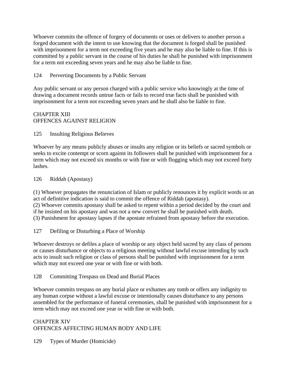Whoever commits the offence of forgery of documents or uses or delivers to another person a forged document with the intent to use knowing that the document is forged shall be punished with imprisonment for a term not exceeding five years and he may also be liable to fine. If this is committed by a public servant in the course of his duties he shall be punished with imprisonment for a term not exceeding seven years and he may also be liable to fine.

## 124 Perverting Documents by a Public Servant

Any public servant or any person charged with a public service who knowingly at the time of drawing a document records untrue facts or fails to record true facts shall be punished with imprisonment for a term not exceeding seven years and he shall also be liable to fine.

## CHAPTER XIII OFFENCES AGAINST RELIGION

125 Insulting Religious Believes

Whoever by any means publicly abuses or insults any religion or its beliefs or sacred symbols or seeks to excite contempt or scorn against its followers shall be punished with imprisonment for a term which may not exceed six months or with fine or with flogging which may not exceed forty lashes.

126 Riddah (Apostasy)

(1) Whoever propagates the renunciation of Islam or publicly renounces it by explicit words or an act of definitive indication is said to commit the offence of Riddah (apostasy).

(2) Whoever commits apostasy shall be asked to repent within a period decided by the court and if he insisted on his apostasy and was not a new convert he shall be punished with death. (3) Punishment for apostasy lapses if the apostate refrained from apostasy before the execution.

127 Defiling or Disturbing a Place of Worship

Whoever destroys or defiles a place of worship or any object held sacred by any class of persons or causes disturbance or objects to a religious meeting without lawful excuse intending by such acts to insult such religion or class of persons shall be punished with imprisonment for a term which may not exceed one year or with fine or with both.

128 Committing Trespass on Dead and Burial Places

Whoever commits trespass on any burial place or exhumes any tomb or offers any indignity to any human corpse without a lawful excuse or intentionally causes disturbance to any persons assembled for the performance of funeral ceremonies, shall be punished with imprisonment for a term which may not exceed one year or with fine or with both.

CHAPTER XIV OFFENCES AFFECTING HUMAN BODY AND LIFE

129 Types of Murder (Homicide)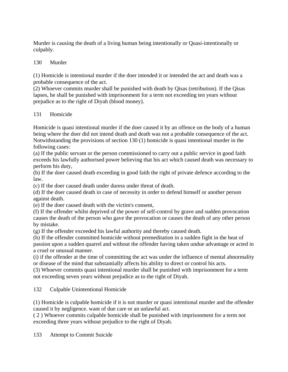Murder is causing the death of a living human being intentionally or Quasi-intentionally or culpably.

## 130 Murder

(1) Homicide is intentional murder if the doer intended it or intended the act and death was a probable consequence of the act.

(2) Whoever commits murder shall be punished with death by Qisas (retribution). If the Qisas lapses, he shall be punished with imprisonment for a term not exceeding ten years without prejudice as to the right of Diyah (blood money).

#### 131 Homicide

Homicide is quasi intentional murder if the doer caused it by an offence on the body of a human being where the doer did not intend death and death was not a probable consequence of the act. Notwithstanding the provisions of section 130 (1) homicide is quasi intentional murder in the following cases:

(a) If the public servant or the person commissioned to carry out a public service in good faith exceeds his lawfully authorised power believing that his act which caused death was necessary to perform his duty,

(b) If the doer caused death exceeding in good faith the right of private defence according to the law.

(c) If the doer caused death under duress under threat of death.

(d) If the doer caused death in case of necessity in order to defend himself or another person against death.

(e) If the doer caused death with the victim's consent,

(f) If the offender whilst deprived of the power of self-control by grave and sudden provocation causes the death of the person who gave the provocation or causes the death of any other person by mistake.

(g) If the offender exceeded his lawful authority and thereby caused death.

(h) If the offender committed homicide without premeditation in a sudden fight in the heat of passion upon a sudden quarrel and without the offender having taken undue advantage or acted in a cruel or unusual manner.

(i) if the offender at the time of committing the act was under the influence of mental abnormality or disease of the mind that substantially affects his ability to direct or control his acts.

(3) Whoever commits quasi intentional murder shall be punished with imprisonment for a term not exceeding seven years without prejudice as to the right of Diyah.

132 Culpable Unintentional Homicide

(1) Homicide is culpable homicide if it is not murder or quasi intentional murder and the offender caused it by negligence. want of due care or an unlawful act.

( 2 ) Whoever commits culpable homicide shall be punished with imprisonment for a term not exceeding three years without prejudice to the right of Diyah.

133 Attempt to Commit Suicide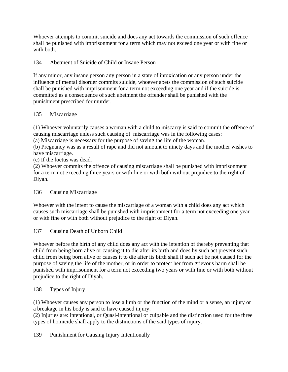Whoever attempts to commit suicide and does any act towards the commission of such offence shall be punished with imprisonment for a term which may not exceed one year or with fine or with both.

# 134 Abetment of Suicide of Child or Insane Person

If any minor, any insane person any person in a state of intoxication or any person under the influence of mental disorder commits suicide, whoever abets the commission of such suicide shall be punished with imprisonment for a term not exceeding one year and if the suicide is committed as a consequence of such abetment the offender shall be punished with the punishment prescribed for murder.

## 135 Miscarriage

(1) Whoever voluntarily causes a woman with a child to miscarry is said to commit the offence of causing miscarriage unless such causing of miscarriage was in the following cases:

(a) Miscarriage is necessary for the purpose of saving the life of the woman.

(b) Pregnancy was as a result of rape and did not amount to ninety days and the mother wishes to have miscarriage.

(c) If the foetus was dead.

(2) Whoever commits the offence of causing miscarriage shall be punished with imprisonment for a term not exceeding three years or with fine or with both without prejudice to the right of Diyah.

# 136 Causing Miscarriage

Whoever with the intent to cause the miscarriage of a woman with a child does any act which causes such miscarriage shall be punished with imprisonment for a term not exceeding one year or with fine or with both without prejudice to the right of Diyah.

# 137 Causing Death of Unborn Child

Whoever before the birth of any child does any act with the intention of thereby preventing that child from being born alive or causing it to die after its birth and does by such act prevent such child from being born alive or causes it to die after its birth shall if such act be not caused for the purpose of saving the life of the mother, or in order to protect her from grievous harm shall be punished with imprisonment for a term not exceeding two years or with fine or with both without prejudice to the right of Diyah.

# 138 Types of Injury

(1) Whoever causes any person to lose a limb or the function of the mind or a sense, an injury or a breakage in his body is said to have caused injury.

(2) Injuries are: intentional, or Quasi-intentional or culpable and the distinction used for the three types of homicide shall apply to the distinctions of the said types of injury.

139 Punishment for Causing Injury Intentionally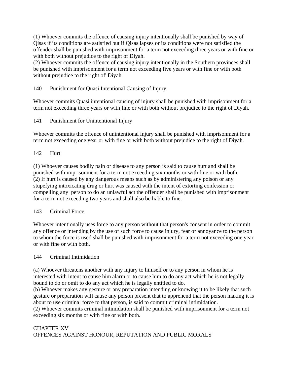(1) Whoever commits the offence of causing injury intentionally shall be punished by way of Qisas if its conditions are satisfied but if Qisas lapses or its conditions were not satisfied the offender shall be punished with imprisonment for a term not exceeding three years or with fine or with both without prejudice to the right of Diyah.

(2) Whoever commits the offence of causing injury intentionally in the Southern provinces shall be punished with imprisonment for a term not exceeding five years or with fine or with both without prejudice to the right of' Diyah.

## 140 Punishment for Quasi Intentional Causing of Injury

Whoever commits Quasi intentional causing of injury shall be punished with imprisonment for a term not exceeding three years or with fine or with both without prejudice to the right of Diyah.

141 Punishment for Unintentional Injury

Whoever commits the offence of unintentional injury shall be punished with imprisonment for a term not exceeding one year or with fine or with both without prejudice to the right of Diyah.

#### 142 Hurt

(1) Whoever causes bodily pain or disease to any person is said to cause hurt and shall be punished with imprisonment for a term not exceeding six months or with fine or with both. (2) If hurt is caused by any dangerous means such as by administering any poison or any stupefying intoxicating drug or hurt was caused with the intent of extorting confession or compelling any person to do an unlawful act the offender shall be punished with imprisonment for a term not exceeding two years and shall also be liable to fine.

#### 143 Criminal Force

Whoever intentionally uses force to any person without that person's consent in order to commit any offence or intending by the use of such force to cause injury, fear or annoyance to the person to whom the force is used shall be punished with imprisonment for a term not exceeding one year or with fine or with both.

#### 144 Criminal Intimidation

(a) Whoever threatens another with any injury to himself or to any person in whom he is interested with intent to cause him alarm or to cause him to do any act which he is not legally bound to do or omit to do any act which he is legally entitled to do.

(b) Whoever makes any gesture or any preparation intending or knowing it to be likely that such gesture or preparation will cause any person present that to apprehend that the person making it is about to use criminal force to that person, is said to commit criminal intimidation.

(2) Whoever commits criminal intimidation shall be punished with imprisonment for a term not exceeding six months or with fine or with both.

# CHAPTER XV OFFENCES AGAINST HONOUR, REPUTATION AND PUBLIC MORALS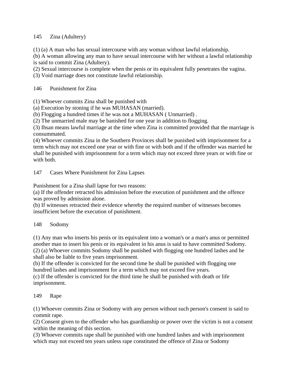#### 145 Zina (Adultery)

(1) (a) A man who has sexual intercourse with any woman without lawful relationship.

(b) A woman allowing any man to have sexual intercourse with her without a lawful relationship is said to commit Zina (Adultery).

(2) Sexual intercourse is complete when the penis or its equivalent fully penetrates the vagina.

(3) Void marriage does not constitute lawful relationship.

146 Punishment for Zina

(1) Whoever commits Zina shall be punished with

(a) Execution by stoning if he was MUHASAN (married).

(b) Flogging a hundred times if he was not a MUHASAN ( Unmarried) .

(2) The unmarried male may be banished for one year in addition to flogging.

(3) Ihsan means lawful marriage at the time when Zina is committed provided that the marriage is consummated.

(4) Whoever commits Zina in the Southern Provinces shall be punished with imprisonment for a term which may not exceed one year or with fine or with both and if the offender was married he shall be punished with imprisonment for a term which may not exceed three years or with fine or with both.

147 Cases Where Punishment for Zina Lapses

Punishment for a Zina shall lapse for two reasons:

(a) If the offender retracted his admission before the execution of punishment and the offence was proved by admission alone.

(b) If witnesses retracted their evidence whereby the required number of witnesses becomes insufficient before the execution of punishment.

# 148 Sodomy

(1) Any man who inserts his penis or its equivalent into a woman's or a man's anus or permitted another man to insert his penis or its equivalent in his anus is said to have committed Sodomy. (2) (a) Whoever commits Sodomy shall be punished with flogging one hundred lashes and he shall also be liable to five years imprisonment.

(b) If the offender is convicted for the second time he shall be punished with flogging one hundred lashes and imprisonment for a term which may not exceed five years.

(c) If the offender is convicted for the third time he shall be punished with death or life imprisonment.

# 149 Rape

(1) Whoever commits Zina or Sodomy with any person without such person's consent is said to commit rape.

(2) Consent given to the offender who has guardianship or power over the victim is not a consent within the meaning of this section.

(3) Whoever commits rape shall be punished with one hundred lashes and with imprisonment which may not exceed ten years unless rape constituted the offence of Zina or Sodomy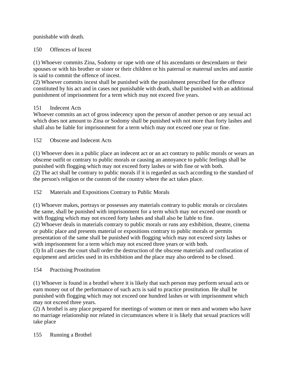punishable with death.

# 150 Offences of Incest

(1) Whoever commits Zina, Sodomy or rape with one of his ascendants or descendants or their spouses or with his brother or sister or their children or his paternal or maternal uncles and auntie is said to commit the offence of incest.

(2) Whoever commits incest shall be punished with the punishment prescribed for the offence constituted by his act and in cases not punishable with death, shall be punished with an additional punishment of imprisonment for a term which may not exceed five years.

# 151 Indecent Acts

Whoever commits an act of gross indecency upon the person of another person or any sexual act which does not amount to Zina or Sodomy shall be punished with not more than forty lashes and shall also be liable for imprisonment for a term which may not exceed one year or fine.

152 Obscene and Indecent Acts

(1) Whoever does in a public place an indecent act or an act contrary to public morals or wears an obscene outfit or contrary to public morals or causing an annoyance to public feelings shall be punished with flogging which may not exceed forty lashes or with fine or with both. (2) The act shall be contrary to public morals if it is regarded as such according to the standard of the person's religion or the custom of the country where the act takes place.

# 152 Materials and Expositions Contrary to Public Morals

(1) Whoever makes, portrays or possesses any materials contrary to public morals or circulates the same, shall be punished with imprisonment for a term which may not exceed one month or with flogging which may not exceed forty lashes and shall also be liable to fine. (2) Whoever deals in materials contrary to public morals or runs any exhibition, theatre, cinema or public place and presents material or expositions contrary to public morals or permits presentation of the same shall be punished with flogging which may not exceed sixty lashes or

with imprisonment for a term which may not exceed three years or with both. (3) In all cases the court shall order the destruction of the obscene materials and confiscation of equipment and articles used in its exhibition and the place may also ordered to be closed.

# 154 Practising Prostitution

(1) Whoever is found in a brothel where it is likely that such person may perform sexual acts or earn money out of the performance of such acts is said to practice prostitution. He shall be punished with flogging which may not exceed one hundred lashes or with imprisonment which may not exceed three years.

(2) A brothel is any place prepared for meetings of women or men or men and women who have no marriage relationship nor related in circumstances where it is likely that sexual practices will take place

155 Running a Brothel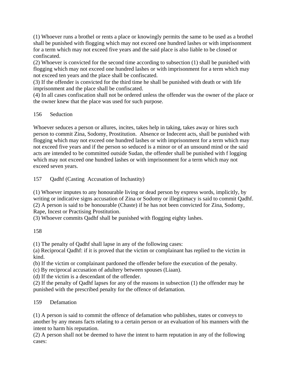(1) Whoever runs a brothel or rents a place or knowingly permits the same to be used as a brothel shall be punished with flogging which may not exceed one hundred lashes or with imprisonment for a term which may not exceed five years and the said place is also liable to be closed or confiscated.

(2) Whoever is convicted for the second time according to subsection (1) shall be punished with flogging which may not exceed one hundred lashes or with imprisonment for a term which may not exceed ten years and the place shall be confiscated.

(3) If the offender is convicted for the third time he shall be punished with death or with life imprisonment and the place shall be confiscated.

(4) In all cases confiscation shall not be ordered unless the offender was the owner of the place or the owner knew that the place was used for such purpose.

#### 156 Seduction

Whoever seduces a person or allures, incites, takes help in taking, takes away or hires such person to commit Zina, Sodomy, Prostitution. Absence or Indecent acts, shall be punished with flogging which may not exceed one hundred lashes or with imprisonment for a term which may not exceed five years and if the person so seduced is a minor or of an unsound mind or the said acts are intended to be committed outside Sudan, the offender shall be punished with f logging which may not exceed one hundred lashes or with imprisonment for a term which may not exceed seven years.

157 Qadhf (Casting Accusation of Inchastity)

(1) Whoever imputes to any honourable living or dead person by express words, implicitly, by writing or indicative signs accusation of Zina or Sodomy or illegitimacy is said to commit Qadhf. (2) A person is said to be honourable (Chaste) if he has not been convicted for Zina, Sodomy, Rape, Incest or Practising Prostitution.

(3) Whoever commits Qadhf shall be punished with flogging eighty lashes.

158

(1) The penalty of Qadhf shall lapse in any of the following cases:

(a) Reciprocal Qadhf: if it is proved that the victim or complainant has replied to the victim in kind.

(b) If the victim or complainant pardoned the offender before the execution of the penalty.

(c) By reciprocal accusation of adultery between spouses (Liaan).

(d) If the victim is a descendant of the offender.

(2) If the penalty of Qadhf lapses for any of the reasons in subsection (1) the offender may he punished with the prescribed penalty for the offence of defamation.

159 Defamation

(1) A person is said to commit the offence of defamation who publishes, states or conveys to another by any means facts relating to a certain person or an evaluation of his manners with the intent to harm his reputation.

(2) A person shall not be deemed to have the intent to harm reputation in any of the following cases: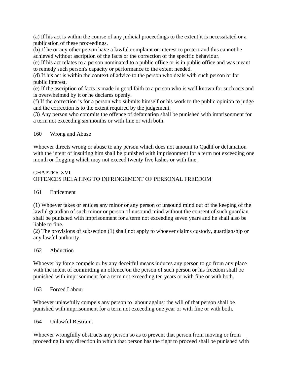(a) If his act is within the course of any judicial proceedings to the extent it is necessitated or a publication of these proceedings.

(b) If he or any other person have a lawful complaint or interest to protect and this cannot be achieved without ascription of the facts or the correction of the specific behaviour.

(c) If his act relates to a person nominated to a public office or is in public office and was meant to remedy such person's capacity or performance to the extent needed.

(d) If his act is within the context of advice to the person who deals with such person or for public interest.

(e) If the ascription of facts is made in good faith to a person who is well known for such acts and is overwhelmed by it or he declares openly.

(f) If the correction is for a person who submits himself or his work to the public opinion to judge and the correction is to the extent required by the judgement.

(3) Any person who commits the offence of defamation shall be punished with imprisonment for a term not exceeding six months or with fine or with both.

160 Wrong and Abuse

Whoever directs wrong or abuse to any person which does not amount to Qadhf or defamation with the intent of insulting him shall be punished with imprisonment for a term not exceeding one month or flogging which may not exceed twenty five lashes or with fine.

# CHAPTER XVI OFFENCES RELATING TO INFRINGEMENT OF PERSONAL FREEDOM

# 161 Enticement

(1) Whoever takes or entices any minor or any person of unsound mind out of the keeping of the lawful guardian of such minor or person of unsound mind without the consent of such guardian shall be punished with imprisonment for a term not exceeding seven years and he shall also be liable to fine.

(2) The provisions of subsection (1) shall not apply to whoever claims custody, guardianship or any lawful authority.

#### 162 Abduction

Whoever by force compels or by any deceitful means induces any person to go from any place with the intent of committing an offence on the person of such person or his freedom shall be punished with imprisonment for a term not exceeding ten years or with fine or with both.

#### 163 Forced Labour

Whoever unlawfully compels any person to labour against the will of that person shall be punished with imprisonment for a term not exceeding one year or with fine or with both.

164 Unlawful Restraint

Whoever wrongfully obstructs any person so as to prevent that person from moving or from proceeding in any direction in which that person has the right to proceed shall be punished with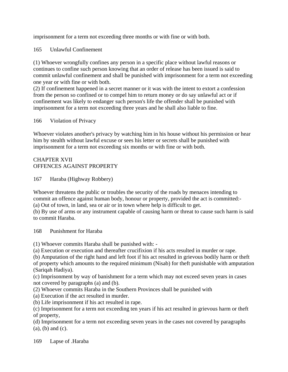imprisonment for a term not exceeding three months or with fine or with both.

165 Unlawful Confinement

(1) Whoever wrongfully confines any person in a specific place without lawful reasons or continues to confine such person knowing that an order of release has been issued is said to commit unlawful confinement and shall be punished with imprisonment for a term not exceeding one year or with fine or with both.

(2) If confinement happened in a secret manner or it was with the intent to extort a confession from the person so confined or to compel him to return money or do say unlawful act or if confinement was likely to endanger such person's life the offender shall be punished with imprisonment for a term not exceeding three years and he shall also liable to fine.

166 Violation of Privacy

Whoever violates another's privacy by watching him in his house without his permission or hear him by stealth without lawful excuse or sees his letter or secrets shall be punished with imprisonment for a term not exceeding six months or with fine or with both.

## CHAPTER XVII OFFENCES AGAINST PROPERTY

167 Haraba (Highway Robbery)

Whoever threatens the public or troubles the security of the roads by menaces intending to commit an offence against human body, honour or property, provided the act is committed:- (a) Out of town, in land, sea or air or in town where help is difficult to get.

(b) By use of arms or any instrument capable of causing harm or threat to cause such harm is said to commit Haraba.

168 Punishment for Haraba

(1) Whoever commits Haraba shall be punished with: -

(a) Execution or execution and thereafter crucifixion if his acts resulted in murder or rape.

(b) Amputation of the right hand and left foot if his act resulted in grievous bodily harm or theft of property which amounts to the required minimum (Nisab) for theft punishable with amputation (Sariqah Hadiya).

(c) Imprisonment by way of banishment for a term which may not exceed seven years in cases not covered by paragraphs (a) and (b).

(2) Whoever commits Haraba in the Southern Provinces shall be punished with

(a) Execution if the act resulted in murder.

(b) Life imprisonment if his act resulted in rape.

(c) Imprisonment for a term not exceeding ten years if his act resulted in grievous harm or theft of property,

(d) Imprisonment for a term not exceeding seven years in the cases not covered by paragraphs (a), (b) and (c).

169 Lapse of .Haraba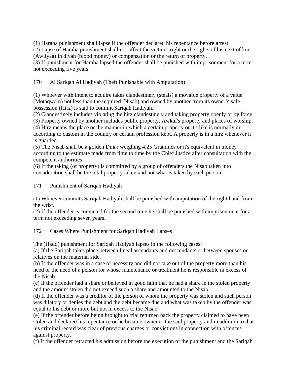(1) Haraba punishment shall lapse if the offender declared his repentance before arrest.

(2) Lapse of Haraba punishment shall not affect the victim's right or the rights of his next of kin (Awliyaa) in diyah (blood money) or compensation or the return of property.

(3) If punishment for Haraba lapsed the offender shall be punished with imprisonment for a term not exceeding five years.

170 Al Sariqah Al Hadiyah (Theft Punishable with Amputation)

(1) Whoever with intent to acquire takes clandestinely (steals) a movable property of a value (Motaqwam) not less than the required (Nisab) and owned by another from its owner's safe possession (Hirz) is said to commit Sariqah Hadiyah.

(2) Clandestinely includes violating the hirz clandestinely and taking property openly or by force. (3) Property owned by another includes public property, Awkaf's property and places of worship.

(4) Hirz means the place or the manner in which a certain property or it's like is normally or according to custom in the country or certain profession kept. A property is in a hirz whenever it is guarded.

(5) The Nisab shall be a golden Dinar weighing 4.25 Grammes or it's equivalent in money according to the estimate made from time to time by the Chief Justice after consultation with the competent authorities.

(6) If the taking (of property) is committed by a group of offenders the Nisab taken into consideration shall be the total property taken and not what is taken by each person.

171 Punishment of Sariqah Hadiyah

(1) Whoever commits Sariqah Hadiyah shall be punished with amputation of the right hand from the wrist.

(2) If the offender is convicted for the second time he shall be punished with imprisonment for a term not exceeding seven years.

172 Cases Where Punishment for Sariqah Hadiyah Lapses

The (Hadd) punishment for Sariqah Hadiyah lapses in the following cases:

(a) If the Sariqah takes place between lineal ascendants and descendants or between spouses or relatives on the maternal side.

(b) If the offender was in a case of necessity and did not take out of the property more than his need or the need of a person for whose maintenance or treatment he is responsible in excess of the Nisab.

(c) If the offender had a share or believed in good faith that he had a share in the stolen property and the amount stolen did not exceed such a share and amounted to the Nisab.

(d) If the offender was a creditor of the person of whom the property was stolen and such person was dilatory or denies the debt and the debt became due and what was taken by the offender was equal to his debt or more but not in excess to the Nisab.

(e) If the offender before being brought to trial returned back the property claimed to have been stolen and declared his repentance or he became owner to the said property and in addition to that his criminal record was clear of previous charges or convictions in connection with offences against property.

(f) If the offender retracted his admission before the execution of the punishment and the Sariqah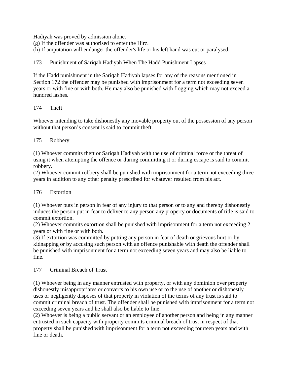Hadiyah was proved by admission alone.

(g) If the offender was authorised to enter the Hirz.

(h) If amputation will endanger the offender's life or his left hand was cut or paralysed.

173 Punishment of Sariqah Hadiyah When The Hadd Punishment Lapses

If the Hadd punishment in the Sariqah Hadiyah lapses for any of the reasons mentioned in Section 172 the offender may be punished with imprisonment for a term not exceeding seven years or with fine or with both. He may also be punished with flogging which may not exceed a hundred lashes.

#### 174 Theft

Whoever intending to take dishonestly any movable property out of the possession of any person without that person's consent is said to commit theft.

## 175 Robbery

(1) Whoever commits theft or Sariqah Hadiyah with the use of criminal force or the threat of using it when attempting the offence or during committing it or during escape is said to commit robbery.

(2) Whoever commit robbery shall be punished with imprisonment for a term not exceeding three years in addition to any other penalty prescribed for whatever resulted from his act.

#### 176 Extortion

(1) Whoever puts in person in fear of any injury to that person or to any and thereby dishonestly induces the person put in fear to deliver to any person any property or documents of title is said to commit extortion.

(2) Whoever commits extortion shall be punished with imprisonment for a term not exceeding 2 years or with fine or with both.

(3) If extortion was committed by putting any person in fear of death or grievous hurt or by kidnapping or by accusing such person with an offence punishable with death the offender shall be punished with imprisonment for a term not exceeding seven years and may also be liable to fine.

#### 177 Criminal Breach of Trust

(1) Whoever being in any manner entrusted with property, or with any dominion over property dishonestly misappropriates or converts to his own use or to the use of another or dishonestly uses or negligently disposes of that property in violation of the terms of any trust is said to commit criminal breach of trust. The offender shall be punished with imprisonment for a term not exceeding seven years and he shall also be liable to fine.

(2) Whoever is being a public servant or an employee of another person and being in any manner entrusted in such capacity with property commits criminal breach of trust in respect of that property shall be punished with imprisonment for a term not exceeding fourteen years and with fine or death.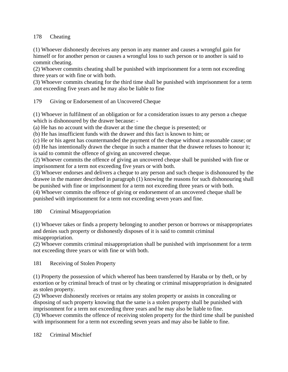## 178 Cheating

(1) Whoever dishonestly deceives any person in any manner and causes a wrongful gain for himself or for another person or causes a wrongful loss to such person or to another is said to commit cheating.

(2) Whoever commits cheating shall be punished with imprisonment for a term not exceeding three years or with fine or with both.

(3) Whoever commits cheating for the third time shall be punished with imprisonment for a term .not exceeding five years and he may also be liable to fine

179 Giving or Endorsement of an Uncovered Cheque

(1) Whoever in fulfilment of an obligation or for a consideration issues to any person a cheque which is dishonoured by the drawer because: -

(a) He has no account with the drawer at the time the cheque is presented; or

(b) He has insufficient funds with the drawer and this fact is known to him; or

(c) He or his agent has countermanded the payment of the cheque without a reasonable cause; or (d) He has intentionally drawn the cheque in such a manner that the drawee refuses to honour it;

is said to commit the offence of giving an uncovered cheque.

(2) Whoever commits the offence of giving an uncovered cheque shall be punished with fine or imprisonment for a term not exceeding five years or with both.

(3) Whoever endorses and delivers a cheque to any person and such cheque is dishonoured by the drawee in the manner described in paragraph (1) knowing the reasons for such dishonouring shall be punished with fine or imprisonment for a term not exceeding three years or with both.

(4) Whoever commits the offence of giving or endorsement of an uncovered cheque shall be punished with imprisonment for a term not exceeding seven years and fine.

# 180 Criminal Misappropriation

(1) Whoever takes or finds a property belonging to another person or borrows or misappropriates and denies such property or dishonestly disposes of it is said to commit criminal misappropriation.

(2) Whoever commits criminal misappropriation shall be punished with imprisonment for a term not exceeding three years or with fine or with both.

181 Receiving of Stolen Property

(1) Property the possession of which whereof has been transferred by Haraba or by theft, or by extortion or by criminal breach of trust or by cheating or criminal misappropriation is designated as stolen property.

(2) Whoever dishonestly receives or retains any stolen property or assists in concealing or disposing of such property knowing that the same is a stolen property shall be punished with imprisonment for a term not exceeding three years and he may also be liable to fine. (3) Whoever commits the offence of receiving stolen property for the third time shall be punished with imprisonment for a term not exceeding seven years and may also be liable to fine.

182 Criminal Mischief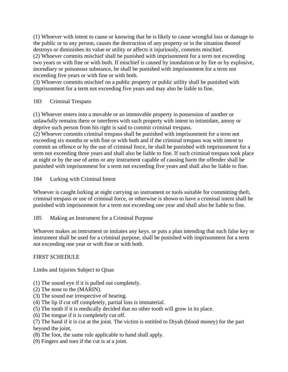(1) Whoever with intent to cause or knowing that he is likely to cause wrongful loss or damage to the public or to any person, causes the destruction of any property or in the situation thereof destroys or diminishes its value or utility or affects it injuriously, commits mischief. (2) Whoever commits mischief shall be punished with imprisonment for a term not exceeding two years or with fine or with both. If mischief is caused by inundation or by fire or by explosive,

incendiary or poisonous substance, he shall be punished with imprisonment for a term not exceeding five years or with fine or with both.

(3) Whoever commits mischief on a public property or public utility shall be punished with imprisonment for a term not exceeding five years and may also be liable to fine.

## 183 Criminal Trespass

(1) Whoever enters into a movable or an immovable property in possession of another or unlawfully remains there or interferes with such property with intent to intimidate, annoy or deprive such person from his right is said to commit criminal trespass.

(2) Whoever commits criminal trespass shall be punished with imprisonment for a term not exceeding six months or with fine or with both and if the criminal trespass was with intent to commit an offence or by the use of criminal force, he shall be punished with imprisonment for a term not exceeding three years and shall also be liable to fine. If such criminal trespass took place at night or by the use of arms or any instrument capable of causing harm the offender shall be punished with imprisonment for a term not exceeding five years and shall also be liable to fine.

184 Lurking with Criminal Intent

Whoever is caught lurking at night carrying an instrument or tools suitable for committing theft, criminal trespass or use of criminal force, or otherwise is shown to have a criminal intent shall be punished with imprisonment for a term not exceeding one year and shall also be liable to fine.

# 185 Making an Instrument for a Criminal Purpose

Whoever makes an instrument or imitates any keys. or puts a plan intending that such false key or instrument shall be used for a criminal purpose, shall be punished with imprisonment for a term not exceeding one year or with fine or with both.

# FIRST SCHEDULE

Limbs and Injuries Subject to Qisas

- (1) The sound eye if it is pulled out completely.
- (2) The nose to the (MARIN).
- (3) The sound ear irrespective of hearing.
- (4) The lip if cut off completely, partial loss is immaterial.
- (5) The tooth if it is medically decided that no other tooth will grow in its place.
- (6) The tongue if it is completely cut off.
- (7) The hand if it is cut at the joint. The victim is entitled to Diyah (blood money) for the part beyond the joint,
- (8) The foot, the same rule applicable to hand shall apply.
- (9) Fingers and toes if the cut is at a joint.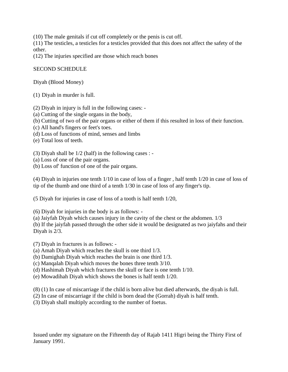(10) The male genitals if cut off completely or the penis is cut off.

(11) The testicles, a testicles for a testicles provided that this does not affect the safety of the other.

(12) The injuries specified are those which reach bones

#### SECOND SCHEDULE

Diyah (Blood Money)

(1) Diyah in murder is full.

(2) Diyah in injury is full in the following cases: -

- (a) Cutting of the single organs in the body,
- (b) Cutting of two of the pair organs or either of them if this resulted in loss of their function.
- (c) All hand's fingers or feet's toes.
- (d) Loss of functions of mind, senses and limbs
- (e) Total loss of teeth.
- (3) Diyah shall be 1/2 (half) in the following cases : -
- (a) Loss of one of the pair organs.
- (b) Loss of' function of one of the pair organs.

(4) Diyah in injuries one tenth 1/10 in case of loss of a finger , half tenth 1/20 in case of loss of tip of the thumb and one third of a tenth 1/30 in case of loss of any finger's tip.

(5 Diyah for injuries in case of loss of a tooth is half tenth 1/20,

(6) Diyah for injuries in the body is as follows: -

(a) Jaiyfah Diyah which causes injury in the cavity of the chest or the abdomen. 1/3

(b) If the jaiyfah passed through the other side it would be designated as two jaiyfahs and their Diyah is 2/3.

(7) Diyah in fractures is as follows: -

(a) Amah Diyah which reaches the skull is one third 1/3.

(b) Damighah Diyah which reaches the brain is one third 1/3.

(c) Manqalah Diyah which moves the bones three tenth 3/10.

(d) Hashimah Diyah which fractures the skull or face is one tenth 1/10.

(e) Mowadihah Diyah which shows the bones is half tenth 1/20.

(8) (1) In case of miscarriage if the child is born alive but died afterwards, the diyah is full.

(2) In case of miscarriage if the child is born dead the (Gorrah) diyah is half tenth.

(3) Diyah shall multiply according to the number of foetus.

Issued under my signature on the Fifteenth day of Rajab 1411 Higri being the Thirty First of January 1991.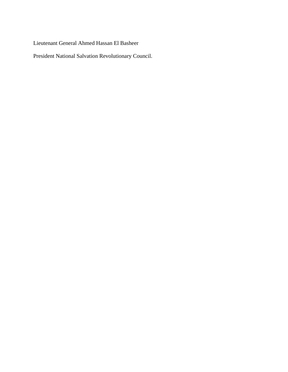Lieutenant General Ahmed Hassan El Basheer

President National Salvation Revolutionary Council.